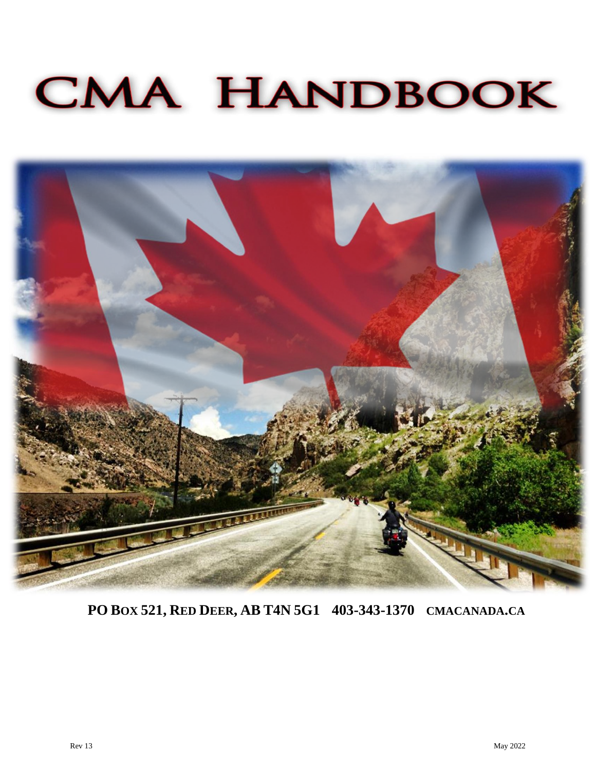# **CMA HANDBOOK**



**PO BOX 521, RED DEER, AB T4N 5G1 403-343-1370 CMACANADA.CA**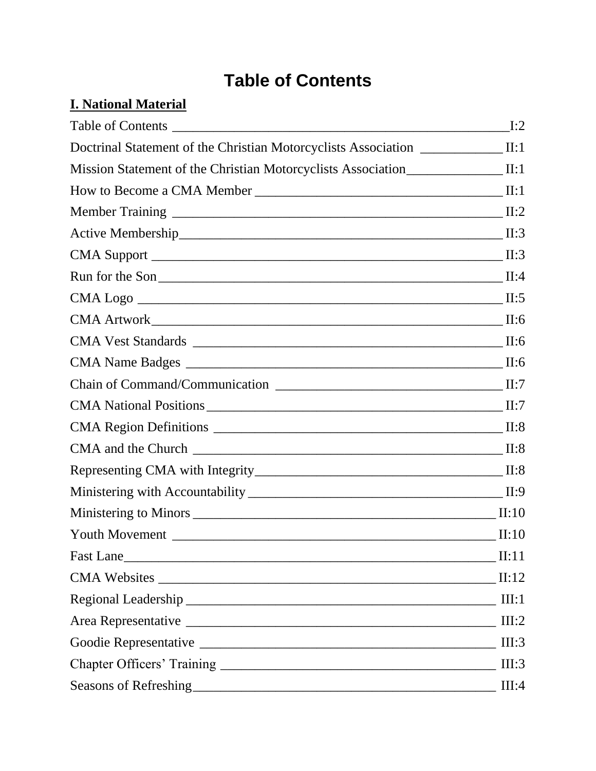## **Table of Contents**

#### <span id="page-3-0"></span>**I. National Material**

|                                                                                         | I:2        |
|-----------------------------------------------------------------------------------------|------------|
| Doctrinal Statement of the Christian Motorcyclists Association ______________II:1       |            |
| Mission Statement of the Christian Motorcyclists Association______________________ II:1 |            |
|                                                                                         | $\prod: 1$ |
|                                                                                         | II:2       |
|                                                                                         | II:3       |
|                                                                                         | II:3       |
| Run for the Son                                                                         | II:4       |
|                                                                                         | II:5       |
|                                                                                         | II:6       |
|                                                                                         | II:6       |
|                                                                                         | II:6       |
|                                                                                         | II:7       |
|                                                                                         | II:7       |
|                                                                                         | II:8       |
|                                                                                         | II:8       |
|                                                                                         | II:8       |
|                                                                                         | II:9       |
|                                                                                         | II:10      |
| <b>Youth Movement</b>                                                                   | II:10      |
|                                                                                         | II:11      |
|                                                                                         | II:12      |
|                                                                                         | III:1      |
|                                                                                         | III:2      |
|                                                                                         | III:3      |
|                                                                                         | III:3      |
| Seasons of Refreshing                                                                   | III:4      |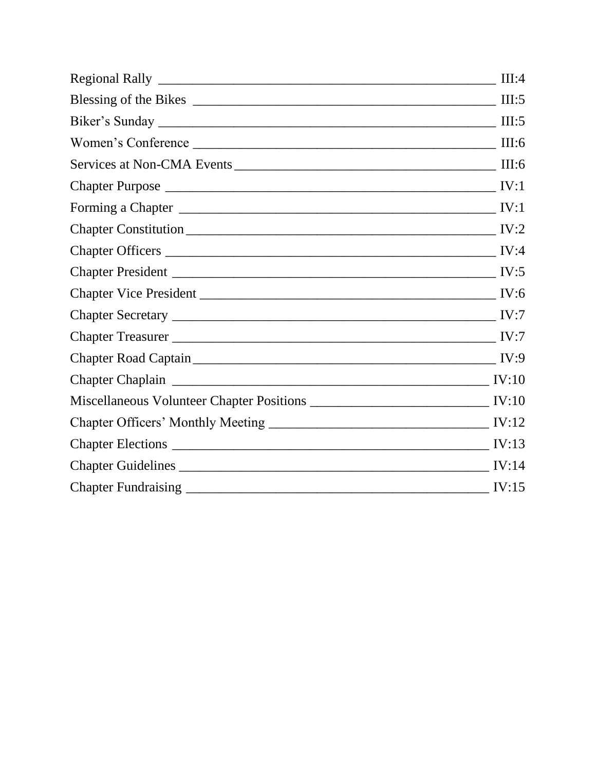| III:4 |
|-------|
| III:5 |
| III:5 |
| III:6 |
| III:6 |
| IV:1  |
| IV:1  |
| IV:2  |
| IV:4  |
| IV:5  |
|       |
|       |
|       |
|       |
|       |
|       |
|       |
| IV:13 |
| IV:14 |
| IV:15 |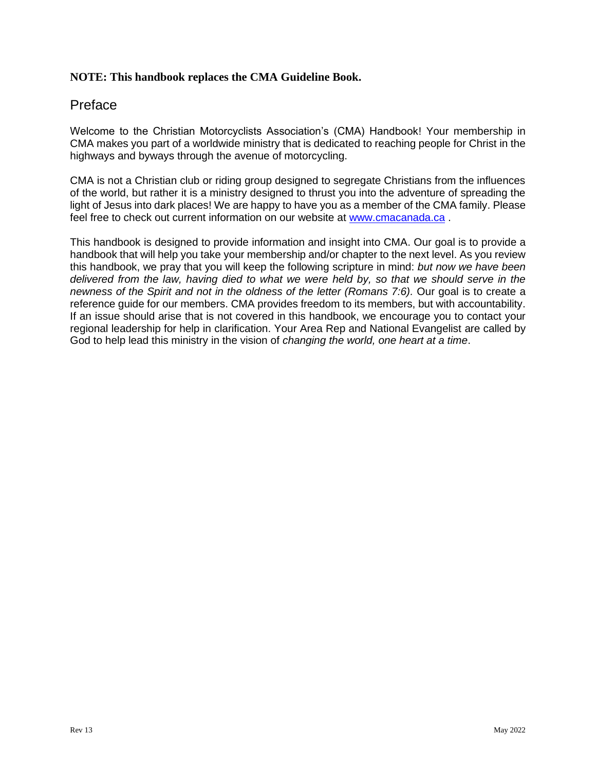#### **NOTE: This handbook replaces the CMA Guideline Book.**

#### Preface

Welcome to the Christian Motorcyclists Association's (CMA) Handbook! Your membership in CMA makes you part of a worldwide ministry that is dedicated to reaching people for Christ in the highways and byways through the avenue of motorcycling.

CMA is not a Christian club or riding group designed to segregate Christians from the influences of the world, but rather it is a ministry designed to thrust you into the adventure of spreading the light of Jesus into dark places! We are happy to have you as a member of the CMA family. Please feel free to check out current information on our website at [www.cmacanada.ca](http://www.cmacanada.ca/) .

This handbook is designed to provide information and insight into CMA. Our goal is to provide a handbook that will help you take your membership and/or chapter to the next level. As you review this handbook, we pray that you will keep the following scripture in mind: *but now we have been delivered from the law, having died to what we were held by, so that we should serve in the newness of the Spirit and not in the oldness of the letter (Romans 7:6).* Our goal is to create a reference guide for our members. CMA provides freedom to its members, but with accountability. If an issue should arise that is not covered in this handbook, we encourage you to contact your regional leadership for help in clarification. Your Area Rep and National Evangelist are called by God to help lead this ministry in the vision of *changing the world, one heart at a time*.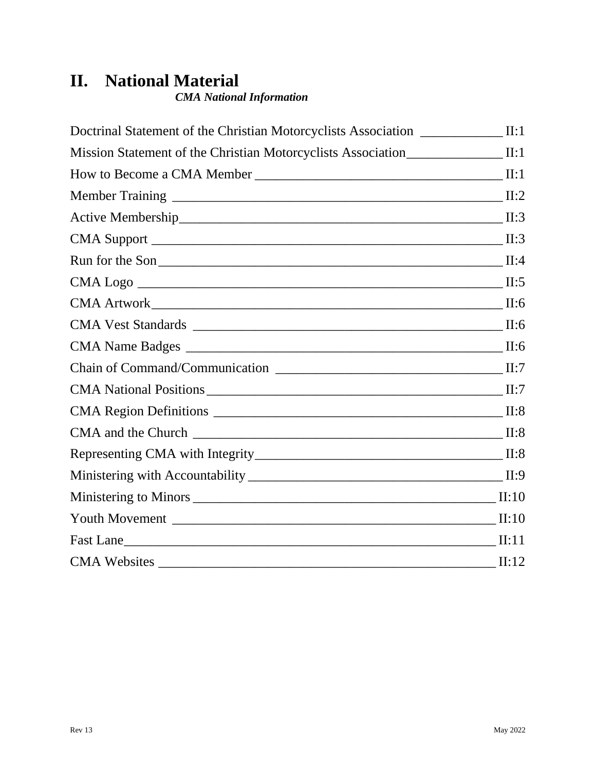### **II. National Material**

*CMA National Information*

| Doctrinal Statement of the Christian Motorcyclists Association _________________ | II:1  |
|----------------------------------------------------------------------------------|-------|
| Mission Statement of the Christian Motorcyclists Association                     | II:1  |
|                                                                                  | II:1  |
| <b>Member Training</b>                                                           | II:2  |
|                                                                                  | II:3  |
|                                                                                  | II:3  |
| Run for the Son                                                                  | II:4  |
|                                                                                  | II:5  |
|                                                                                  | II:6  |
|                                                                                  | II:6  |
|                                                                                  | II:6  |
|                                                                                  | II:7  |
|                                                                                  | II:7  |
|                                                                                  | II:8  |
|                                                                                  | II:8  |
|                                                                                  | II:8  |
|                                                                                  | II:9  |
|                                                                                  | II:10 |
|                                                                                  | II:10 |
| Fast Lane                                                                        | II:11 |
| <b>CMA Websites</b>                                                              | II:12 |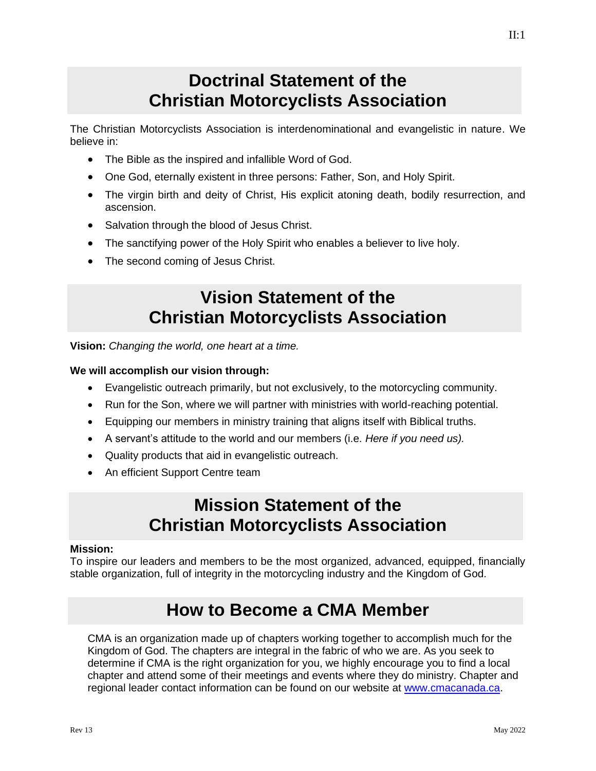#### **Doctrinal Statement of the Christian Motorcyclists Association**

<span id="page-8-0"></span>The Christian Motorcyclists Association is interdenominational and evangelistic in nature. We believe in:

- The Bible as the inspired and infallible Word of God.
- One God, eternally existent in three persons: Father, Son, and Holy Spirit.
- The virgin birth and deity of Christ, His explicit atoning death, bodily resurrection, and ascension.
- Salvation through the blood of Jesus Christ.
- The sanctifying power of the Holy Spirit who enables a believer to live holy.
- <span id="page-8-1"></span>• The second coming of Jesus Christ.

### **Vision Statement of the Christian Motorcyclists Association**

**Vision:** *Changing the world, one heart at a time.*

#### **We will accomplish our vision through:**

- Evangelistic outreach primarily, but not exclusively, to the motorcycling community.
- Run for the Son, where we will partner with ministries with world-reaching potential.
- Equipping our members in ministry training that aligns itself with Biblical truths.
- A servant's attitude to the world and our members (i.e. *Here if you need us).*
- Quality products that aid in evangelistic outreach.
- An efficient Support Centre team

#### **Mission Statement of the Christian Motorcyclists Association**

#### **Mission:**

To inspire our leaders and members to be the most organized, advanced, equipped, financially stable organization, full of integrity in the motorcycling industry and the Kingdom of God.

### **How to Become a CMA Member**

<span id="page-8-2"></span>CMA is an organization made up of chapters working together to accomplish much for the Kingdom of God. The chapters are integral in the fabric of who we are. As you seek to determine if CMA is the right organization for you, we highly encourage you to find a local chapter and attend some of their meetings and events where they do ministry. Chapter and regional leader contact information can be found on our website at [www.cmacanada.ca.](http://www.cmacanada.ca/)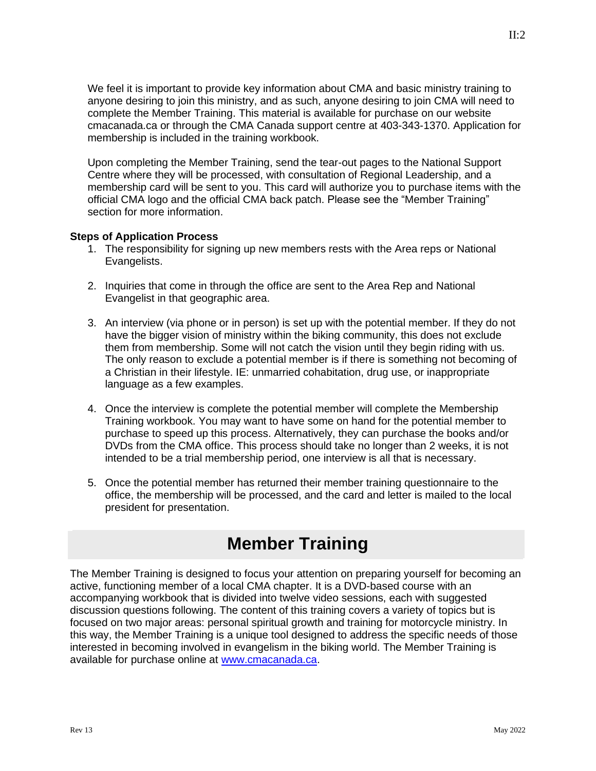We feel it is important to provide key information about CMA and basic ministry training to anyone desiring to join this ministry, and as such, anyone desiring to join CMA will need to complete the Member Training. This material is available for purchase on our website cmacanada.ca or through the CMA Canada support centre at 403-343-1370. Application for membership is included in the training workbook.

Upon completing the Member Training, send the tear-out pages to the National Support Centre where they will be processed, with consultation of Regional Leadership, and a membership card will be sent to you. This card will authorize you to purchase items with the official CMA logo and the official CMA back patch. Please see the "Member Training" section for more information.

#### **Steps of Application Process**

- 1. The responsibility for signing up new members rests with the Area reps or National Evangelists.
- 2. Inquiries that come in through the office are sent to the Area Rep and National Evangelist in that geographic area.
- 3. An interview (via phone or in person) is set up with the potential member. If they do not have the bigger vision of ministry within the biking community, this does not exclude them from membership. Some will not catch the vision until they begin riding with us. The only reason to exclude a potential member is if there is something not becoming of a Christian in their lifestyle. IE: unmarried cohabitation, drug use, or inappropriate language as a few examples.
- 4. Once the interview is complete the potential member will complete the Membership Training workbook. You may want to have some on hand for the potential member to purchase to speed up this process. Alternatively, they can purchase the books and/or DVDs from the CMA office. This process should take no longer than 2 weeks, it is not intended to be a trial membership period, one interview is all that is necessary.
- 5. Once the potential member has returned their member training questionnaire to the office, the membership will be processed, and the card and letter is mailed to the local president for presentation.

### **Member Training**

<span id="page-9-0"></span>The Member Training is designed to focus your attention on preparing yourself for becoming an active, functioning member of a local CMA chapter. It is a DVD-based course with an accompanying workbook that is divided into twelve video sessions, each with suggested discussion questions following. The content of this training covers a variety of topics but is focused on two major areas: personal spiritual growth and training for motorcycle ministry. In this way, the Member Training is a unique tool designed to address the specific needs of those interested in becoming involved in evangelism in the biking world. The Member Training is available for purchase online at [www.cmacanada.ca.](http://www.cmacanada.ca/)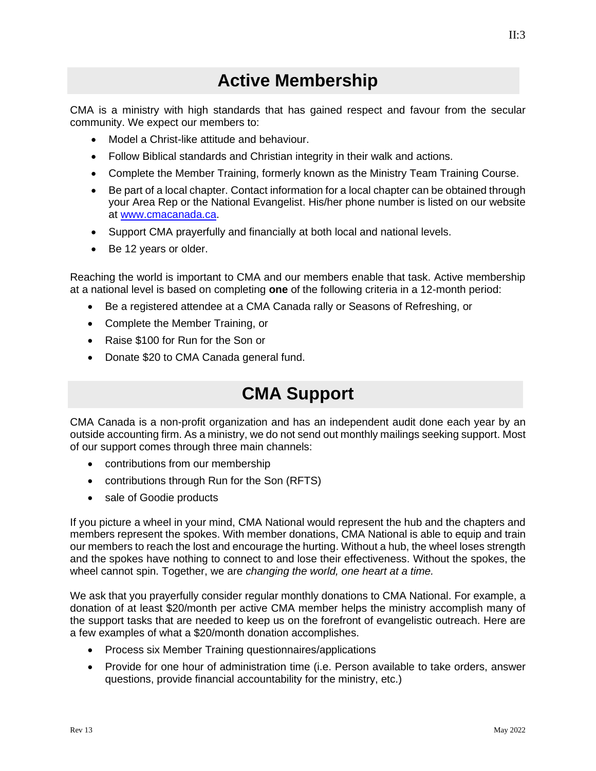#### **Active Membership**

<span id="page-10-0"></span>CMA is a ministry with high standards that has gained respect and favour from the secular community. We expect our members to:

- Model a Christ-like attitude and behaviour.
- Follow Biblical standards and Christian integrity in their walk and actions.
- Complete the Member Training, formerly known as the Ministry Team Training Course.
- Be part of a local chapter. Contact information for a local chapter can be obtained through your Area Rep or the National Evangelist. His/her phone number is listed on our website at [www.cmacanada.ca.](http://www.cmacanada.ca/)
- Support CMA prayerfully and financially at both local and national levels.
- Be 12 years or older.

Reaching the world is important to CMA and our members enable that task. Active membership at a national level is based on completing **one** of the following criteria in a 12-month period:

- Be a registered attendee at a CMA Canada rally or Seasons of Refreshing, or
- Complete the Member Training, or
- Raise \$100 for Run for the Son or
- Donate \$20 to CMA Canada general fund.

#### **CMA Support**

<span id="page-10-1"></span>CMA Canada is a non-profit organization and has an independent audit done each year by an outside accounting firm. As a ministry, we do not send out monthly mailings seeking support. Most of our support comes through three main channels:

- contributions from our membership
- contributions through Run for the Son (RFTS)
- sale of Goodie products

If you picture a wheel in your mind, CMA National would represent the hub and the chapters and members represent the spokes. With member donations, CMA National is able to equip and train our members to reach the lost and encourage the hurting. Without a hub, the wheel loses strength and the spokes have nothing to connect to and lose their effectiveness. Without the spokes, the wheel cannot spin. Together, we are *changing the world, one heart at a time.* 

We ask that you prayerfully consider regular monthly donations to CMA National. For example, a donation of at least \$20/month per active CMA member helps the ministry accomplish many of the support tasks that are needed to keep us on the forefront of evangelistic outreach. Here are a few examples of what a \$20/month donation accomplishes.

- Process six Member Training questionnaires/applications
- Provide for one hour of administration time (i.e. Person available to take orders, answer questions, provide financial accountability for the ministry, etc.)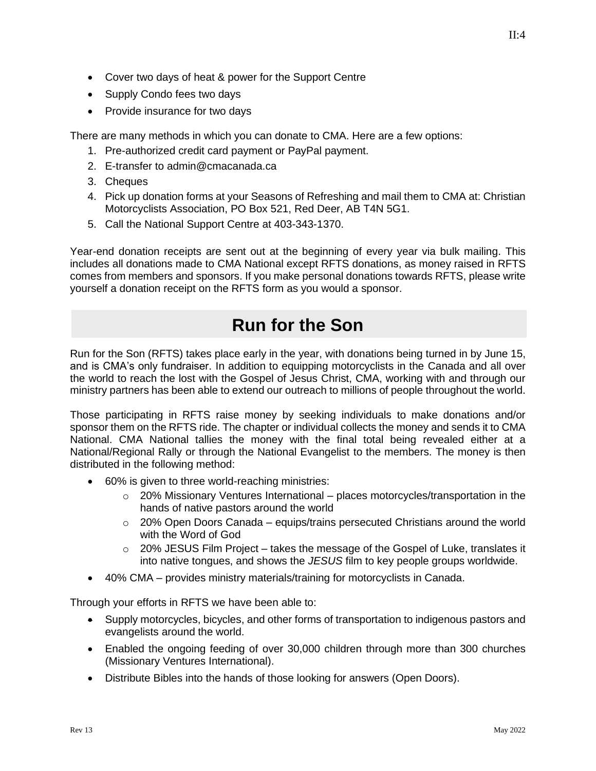- Cover two days of heat & power for the Support Centre
- Supply Condo fees two days
- Provide insurance for two days

There are many methods in which you can donate to CMA. Here are a few options:

- 1. Pre-authorized credit card payment or PayPal payment.
- 2. E-transfer to admin@cmacanada.ca
- 3. Cheques
- 4. Pick up donation forms at your Seasons of Refreshing and mail them to CMA at: Christian Motorcyclists Association, PO Box 521, Red Deer, AB T4N 5G1.
- 5. Call the National Support Centre at 403-343-1370.

Year-end donation receipts are sent out at the beginning of every year via bulk mailing. This includes all donations made to CMA National except RFTS donations, as money raised in RFTS comes from members and sponsors. If you make personal donations towards RFTS, please write yourself a donation receipt on the RFTS form as you would a sponsor.

### **Run for the Son**

<span id="page-11-0"></span>Run for the Son (RFTS) takes place early in the year, with donations being turned in by June 15, and is CMA's only fundraiser. In addition to equipping motorcyclists in the Canada and all over the world to reach the lost with the Gospel of Jesus Christ, CMA, working with and through our ministry partners has been able to extend our outreach to millions of people throughout the world.

Those participating in RFTS raise money by seeking individuals to make donations and/or sponsor them on the RFTS ride. The chapter or individual collects the money and sends it to CMA National. CMA National tallies the money with the final total being revealed either at a National/Regional Rally or through the National Evangelist to the members. The money is then distributed in the following method:

- 60% is given to three world-reaching ministries:
	- $\circ$  20% Missionary Ventures International places motorcycles/transportation in the hands of native pastors around the world
	- $\circ$  20% Open Doors Canada equips/trains persecuted Christians around the world with the Word of God
	- $\circ$  20% JESUS Film Project takes the message of the Gospel of Luke, translates it into native tongues, and shows the *JESUS* film to key people groups worldwide.
- 40% CMA provides ministry materials/training for motorcyclists in Canada.

Through your efforts in RFTS we have been able to:

- Supply motorcycles, bicycles, and other forms of transportation to indigenous pastors and evangelists around the world.
- Enabled the ongoing feeding of over 30,000 children through more than 300 churches (Missionary Ventures International).
- Distribute Bibles into the hands of those looking for answers (Open Doors).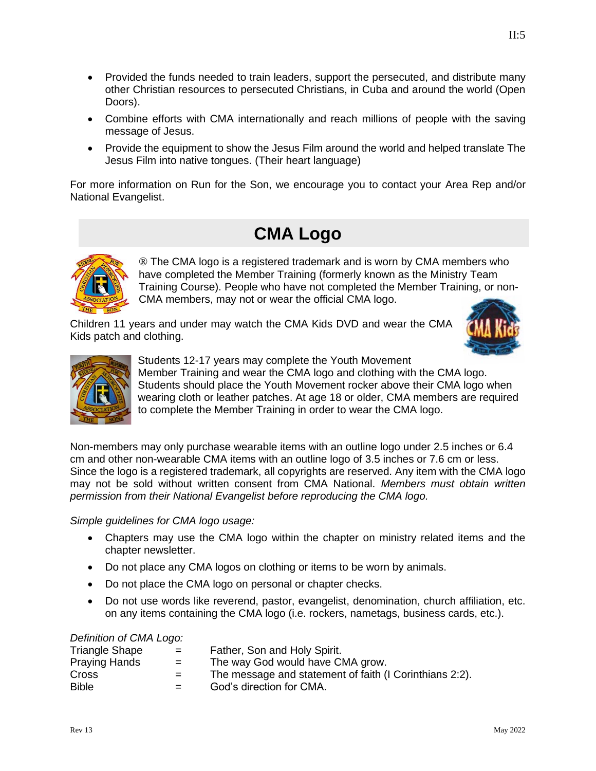- Provided the funds needed to train leaders, support the persecuted, and distribute many other Christian resources to persecuted Christians, in Cuba and around the world (Open Doors).
- Combine efforts with CMA internationally and reach millions of people with the saving message of Jesus.
- Provide the equipment to show the Jesus Film around the world and helped translate The Jesus Film into native tongues. (Their heart language)

<span id="page-12-1"></span>For more information on Run for the Son, we encourage you to contact your Area Rep and/or National Evangelist.

#### **CMA Logo**

<span id="page-12-0"></span>

® The CMA logo is a registered trademark and is worn by CMA members who have completed the Member Training (formerly known as the Ministry Team Training Course). People who have not completed the Member Training, or non-CMA members, may not or wear the official CMA logo.

Children 11 years and under may watch the CMA Kids DVD and wear the CMA Kids patch and clothing.





Students 12-17 years may complete the Youth Movement Member Training and wear the CMA logo and clothing with the CMA logo. Students should place the Youth Movement rocker above their CMA logo when wearing cloth or leather patches. At age 18 or older, CMA members are required to complete the Member Training in order to wear the CMA logo.

Non-members may only purchase wearable items with an outline logo under 2.5 inches or 6.4 cm and other non-wearable CMA items with an outline logo of 3.5 inches or 7.6 cm or less. Since the logo is a registered trademark, all copyrights are reserved. Any item with the CMA logo may not be sold without written consent from CMA National. *Members must obtain written permission from their National Evangelist before reproducing the CMA logo.* 

*Simple guidelines for CMA logo usage:*

- Chapters may use the CMA logo within the chapter on ministry related items and the chapter newsletter.
- Do not place any CMA logos on clothing or items to be worn by animals.
- Do not place the CMA logo on personal or chapter checks.
- Do not use words like reverend, pastor, evangelist, denomination, church affiliation, etc. on any items containing the CMA logo (i.e. rockers, nametags, business cards, etc.).

#### *Definition of CMA Logo:*

| <b>Triangle Shape</b> | $=$ | Father, Son and Holy Spirit.                            |
|-----------------------|-----|---------------------------------------------------------|
| Praying Hands         | $=$ | The way God would have CMA grow.                        |
| Cross                 | $=$ | The message and statement of faith (I Corinthians 2:2). |
| <b>Bible</b>          | $=$ | God's direction for CMA.                                |
|                       |     |                                                         |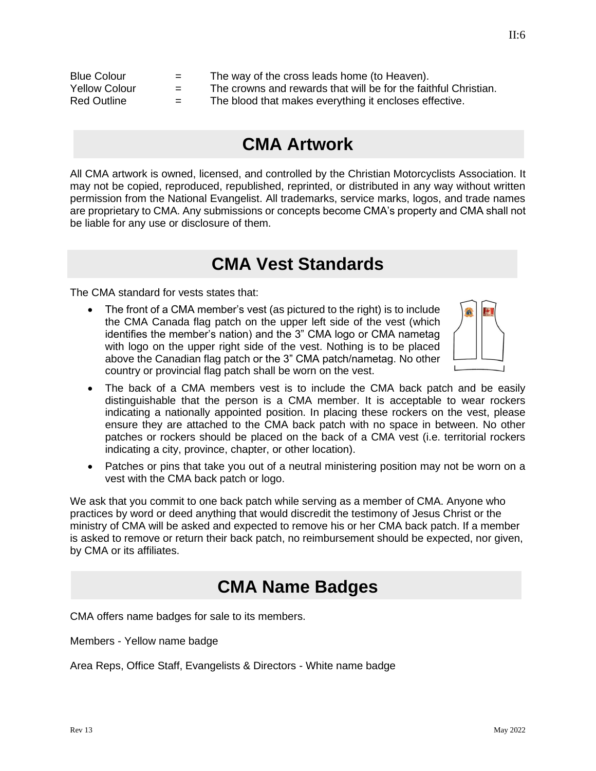<span id="page-13-0"></span>

| <b>Blue Colour</b>   | $=$ | The way of the cross leads home (to Heaven).                    |
|----------------------|-----|-----------------------------------------------------------------|
| <b>Yellow Colour</b> | $=$ | The crowns and rewards that will be for the faithful Christian. |
| Red Outline          | $=$ | The blood that makes everything it encloses effective.          |

#### **CMA Artwork**

All CMA artwork is owned, licensed, and controlled by the Christian Motorcyclists Association. It may not be copied, reproduced, republished, reprinted, or distributed in any way without written permission from the National Evangelist. All trademarks, service marks, logos, and trade names are proprietary to CMA. Any submissions or concepts become CMA's property and CMA shall not be liable for any use or disclosure of them.

#### **CMA Vest Standards**

<span id="page-13-1"></span>The CMA standard for vests states that:

• The front of a CMA member's vest (as pictured to the right) is to include the CMA Canada flag patch on the upper left side of the vest (which identifies the member's nation) and the 3" CMA logo or CMA nametag with logo on the upper right side of the vest. Nothing is to be placed above the Canadian flag patch or the 3" CMA patch/nametag. No other country or provincial flag patch shall be worn on the vest.



- The back of a CMA members vest is to include the CMA back patch and be easily distinguishable that the person is a CMA member. It is acceptable to wear rockers indicating a nationally appointed position. In placing these rockers on the vest, please ensure they are attached to the CMA back patch with no space in between. No other patches or rockers should be placed on the back of a CMA vest (i.e. territorial rockers indicating a city, province, chapter, or other location).
- Patches or pins that take you out of a neutral ministering position may not be worn on a vest with the CMA back patch or logo.

We ask that you commit to one back patch while serving as a member of CMA. Anyone who practices by word or deed anything that would discredit the testimony of Jesus Christ or the ministry of CMA will be asked and expected to remove his or her CMA back patch. If a member is asked to remove or return their back patch, no reimbursement should be expected, nor given, by CMA or its affiliates.

#### <span id="page-13-2"></span>**CMA Name Badges**

CMA offers name badges for sale to its members.

Members - Yellow name badge

Area Reps, Office Staff, Evangelists & Directors - White name badge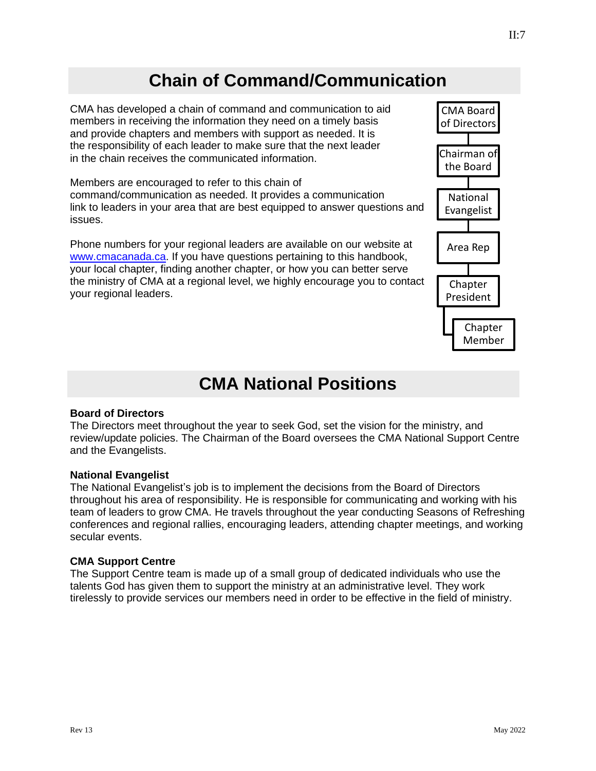### **Chain of Command/Communication**

<span id="page-14-0"></span>CMA has developed a chain of command and communication to aid members in receiving the information they need on a timely basis and provide chapters and members with support as needed. It is the responsibility of each leader to make sure that the next leader in the chain receives the communicated information.

Members are encouraged to refer to this chain of command/communication as needed. It provides a communication link to leaders in your area that are best equipped to answer questions and issues.

Phone numbers for your regional leaders are available on our website at [www.cmacanada.ca.](http://www.cmacanada.ca/) If you have questions pertaining to this handbook, your local chapter, finding another chapter, or how you can better serve the ministry of CMA at a regional level, we highly encourage you to contact your regional leaders.

#### **CMA National Positions**

#### <span id="page-14-1"></span>**Board of Directors**

The Directors meet throughout the year to seek God, set the vision for the ministry, and review/update policies. The Chairman of the Board oversees the CMA National Support Centre and the Evangelists.

#### **National Evangelist**

The National Evangelist's job is to implement the decisions from the Board of Directors throughout his area of responsibility. He is responsible for communicating and working with his team of leaders to grow CMA. He travels throughout the year conducting Seasons of Refreshing conferences and regional rallies, encouraging leaders, attending chapter meetings, and working secular events.

#### **CMA Support Centre**

<span id="page-14-2"></span>The Support Centre team is made up of a small group of dedicated individuals who use the talents God has given them to support the ministry at an administrative level. They work tirelessly to provide services our members need in order to be effective in the field of ministry.

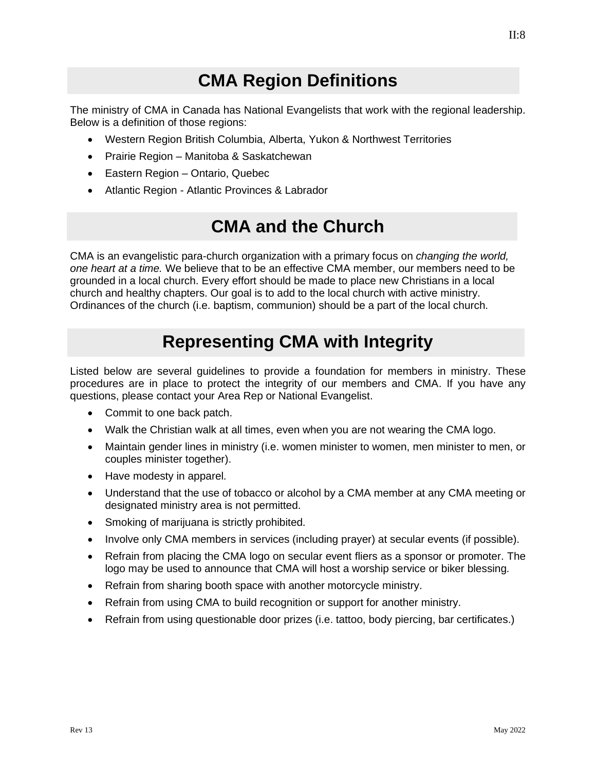$II:8$ 

#### **CMA Region Definitions**

<span id="page-15-0"></span>The ministry of CMA in Canada has National Evangelists that work with the regional leadership. Below is a definition of those regions:

- Western Region British Columbia, Alberta, Yukon & Northwest Territories
- Prairie Region Manitoba & Saskatchewan
- Eastern Region Ontario, Quebec
- Atlantic Region Atlantic Provinces & Labrador

### **CMA and the Church**

<span id="page-15-1"></span>CMA is an evangelistic para-church organization with a primary focus on *changing the world, one heart at a time.* We believe that to be an effective CMA member, our members need to be grounded in a local church. Every effort should be made to place new Christians in a local church and healthy chapters. Our goal is to add to the local church with active ministry. Ordinances of the church (i.e. baptism, communion) should be a part of the local church.

### **Representing CMA with Integrity**

<span id="page-15-2"></span>Listed below are several guidelines to provide a foundation for members in ministry. These procedures are in place to protect the integrity of our members and CMA. If you have any questions, please contact your Area Rep or National Evangelist.

- Commit to one back patch.
- Walk the Christian walk at all times, even when you are not wearing the CMA logo.
- Maintain gender lines in ministry (i.e. women minister to women, men minister to men, or couples minister together).
- Have modesty in apparel.
- Understand that the use of tobacco or alcohol by a CMA member at any CMA meeting or designated ministry area is not permitted.
- Smoking of marijuana is strictly prohibited.
- Involve only CMA members in services (including prayer) at secular events (if possible).
- Refrain from placing the CMA logo on secular event fliers as a sponsor or promoter. The logo may be used to announce that CMA will host a worship service or biker blessing*.*
- Refrain from sharing booth space with another motorcycle ministry.
- Refrain from using CMA to build recognition or support for another ministry.
- Refrain from using questionable door prizes (i.e. tattoo, body piercing, bar certificates.)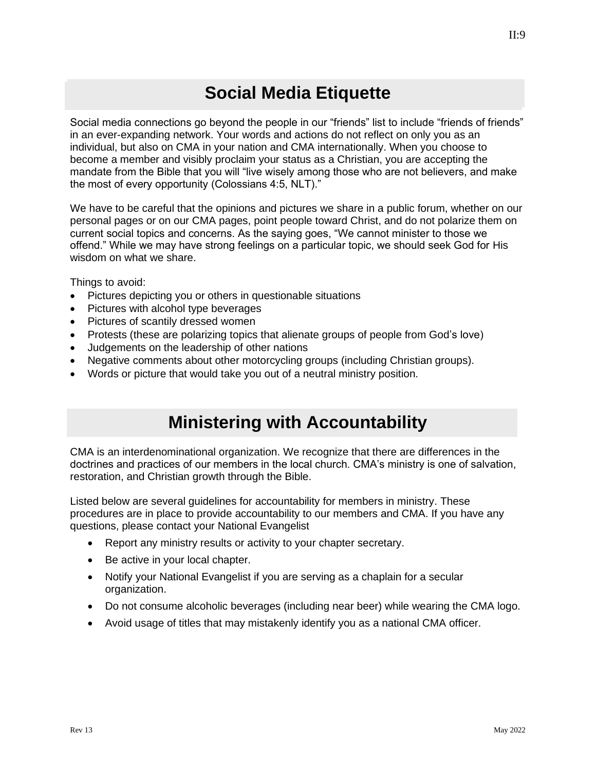### $II:9$

### **Social Media Etiquette**

Social media connections go beyond the people in our "friends" list to include "friends of friends" in an ever-expanding network. Your words and actions do not reflect on only you as an individual, but also on CMA in your nation and CMA internationally. When you choose to become a member and visibly proclaim your status as a Christian, you are accepting the mandate from the Bible that you will "live wisely among those who are not believers, and make the most of every opportunity (Colossians 4:5, NLT)."

We have to be careful that the opinions and pictures we share in a public forum, whether on our personal pages or on our CMA pages, point people toward Christ, and do not polarize them on current social topics and concerns. As the saying goes, "We cannot minister to those we offend." While we may have strong feelings on a particular topic, we should seek God for His wisdom on what we share.

Things to avoid:

- Pictures depicting you or others in questionable situations
- Pictures with alcohol type beverages
- Pictures of scantily dressed women
- Protests (these are polarizing topics that alienate groups of people from God's love)
- Judgements on the leadership of other nations
- Negative comments about other motorcycling groups (including Christian groups).
- Words or picture that would take you out of a neutral ministry position.

#### **Ministering with Accountability**

<span id="page-16-0"></span>CMA is an interdenominational organization. We recognize that there are differences in the doctrines and practices of our members in the local church. CMA's ministry is one of salvation, restoration, and Christian growth through the Bible.

Listed below are several guidelines for accountability for members in ministry. These procedures are in place to provide accountability to our members and CMA. If you have any questions, please contact your National Evangelist

- Report any ministry results or activity to your chapter secretary.
- Be active in your local chapter.
- Notify your National Evangelist if you are serving as a chaplain for a secular organization.
- Do not consume alcoholic beverages (including near beer) while wearing the CMA logo.
- Avoid usage of titles that may mistakenly identify you as a national CMA officer.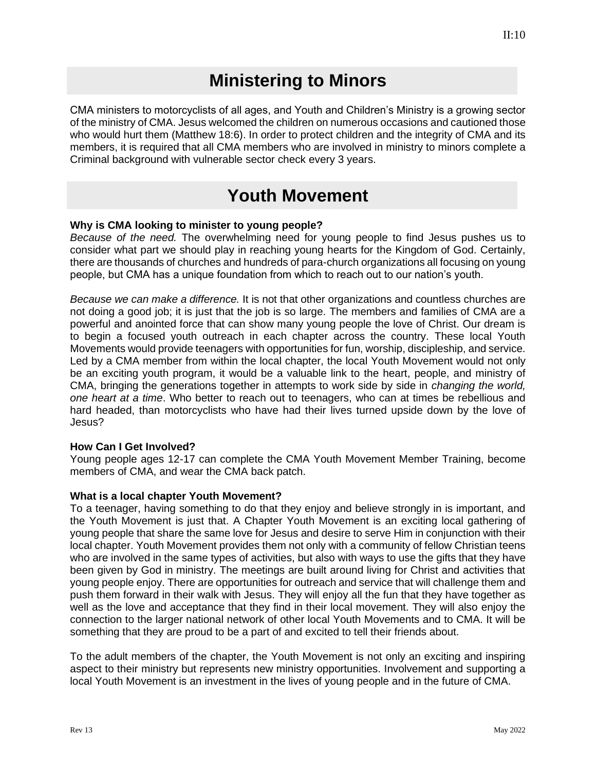#### **Ministering to Minors**

<span id="page-17-0"></span>CMA ministers to motorcyclists of all ages, and Youth and Children's Ministry is a growing sector of the ministry of CMA. Jesus welcomed the children on numerous occasions and cautioned those who would hurt them (Matthew 18:6). In order to protect children and the integrity of CMA and its members, it is required that all CMA members who are involved in ministry to minors complete a Criminal background with vulnerable sector check every 3 years.

#### **Youth Movement**

#### <span id="page-17-1"></span>**Why is CMA looking to minister to young people?**

*Because of the need.* The overwhelming need for young people to find Jesus pushes us to consider what part we should play in reaching young hearts for the Kingdom of God. Certainly, there are thousands of churches and hundreds of para-church organizations all focusing on young people, but CMA has a unique foundation from which to reach out to our nation's youth.

*Because we can make a difference.* It is not that other organizations and countless churches are not doing a good job; it is just that the job is so large. The members and families of CMA are a powerful and anointed force that can show many young people the love of Christ. Our dream is to begin a focused youth outreach in each chapter across the country. These local Youth Movements would provide teenagers with opportunities for fun, worship, discipleship, and service. Led by a CMA member from within the local chapter, the local Youth Movement would not only be an exciting youth program, it would be a valuable link to the heart, people, and ministry of CMA, bringing the generations together in attempts to work side by side in *changing the world, one heart at a time*. Who better to reach out to teenagers, who can at times be rebellious and hard headed, than motorcyclists who have had their lives turned upside down by the love of Jesus?

#### **How Can I Get Involved?**

Young people ages 12-17 can complete the CMA Youth Movement Member Training, become members of CMA, and wear the CMA back patch.

#### **What is a local chapter Youth Movement?**

To a teenager, having something to do that they enjoy and believe strongly in is important, and the Youth Movement is just that. A Chapter Youth Movement is an exciting local gathering of young people that share the same love for Jesus and desire to serve Him in conjunction with their local chapter. Youth Movement provides them not only with a community of fellow Christian teens who are involved in the same types of activities, but also with ways to use the gifts that they have been given by God in ministry. The meetings are built around living for Christ and activities that young people enjoy. There are opportunities for outreach and service that will challenge them and push them forward in their walk with Jesus. They will enjoy all the fun that they have together as well as the love and acceptance that they find in their local movement. They will also enjoy the connection to the larger national network of other local Youth Movements and to CMA. It will be something that they are proud to be a part of and excited to tell their friends about.

To the adult members of the chapter, the Youth Movement is not only an exciting and inspiring aspect to their ministry but represents new ministry opportunities. Involvement and supporting a local Youth Movement is an investment in the lives of young people and in the future of CMA.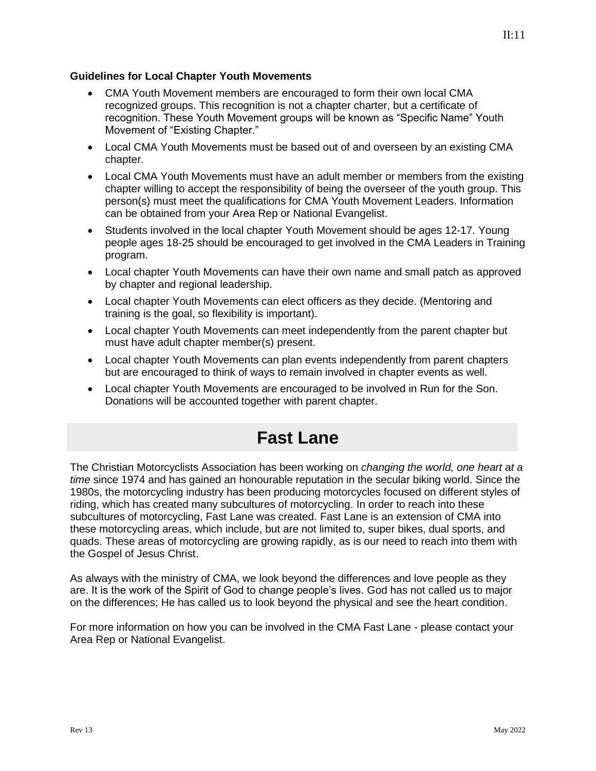#### **Guidelines for Local Chapter Youth Movements**

- CMA Youth Movement members are encouraged to form their own local CMA recognized groups. This recognition is not a chapter charter, but a certificate of recognition. These Youth Movement groups will be known as "Specific Name" Youth Movement of "Existing Chapter."
- Local CMA Youth Movements must be based out of and overseen by an existing CMA chapter.
- Local CMA Youth Movements must have an adult member or members from the existing chapter willing to accept the responsibility of being the overseer of the youth group. This person(s) must meet the qualifications for CMA Youth Movement Leaders. Information can be obtained from your Area Rep or National Evangelist.
- Students involved in the local chapter Youth Movement should be ages 12-17. Young people ages 18-25 should be encouraged to get involved in the CMA Leaders in Training program.
- Local chapter Youth Movements can have their own name and small patch as approved by chapter and regional leadership.
- Local chapter Youth Movements can elect officers as they decide. (Mentoring and training is the goal, so flexibility is important).
- Local chapter Youth Movements can meet independently from the parent chapter but must have adult chapter member(s) present.
- Local chapter Youth Movements can plan events independently from parent chapters but are encouraged to think of ways to remain involved in chapter events as well.
- Local chapter Youth Movements are encouraged to be involved in Run for the Son. Donations will be accounted together with parent chapter.

### **Fast Lane**

<span id="page-18-0"></span>The Christian Motorcyclists Association has been working on *changing the world, one heart at a time* since 1974 and has gained an honourable reputation in the secular biking world. Since the 1980s, the motorcycling industry has been producing motorcycles focused on different styles of riding, which has created many subcultures of motorcycling. In order to reach into these subcultures of motorcycling, Fast Lane was created. Fast Lane is an extension of CMA into these motorcycling areas, which include, but are not limited to, super bikes, dual sports, and quads. These areas of motorcycling are growing rapidly, as is our need to reach into them with the Gospel of Jesus Christ.

As always with the ministry of CMA, we look beyond the differences and love people as they are. It is the work of the Spirit of God to change people's lives. God has not called us to major on the differences; He has called us to look beyond the physical and see the heart condition.

For more information on how you can be involved in the CMA Fast Lane - please contact your Area Rep or National Evangelist.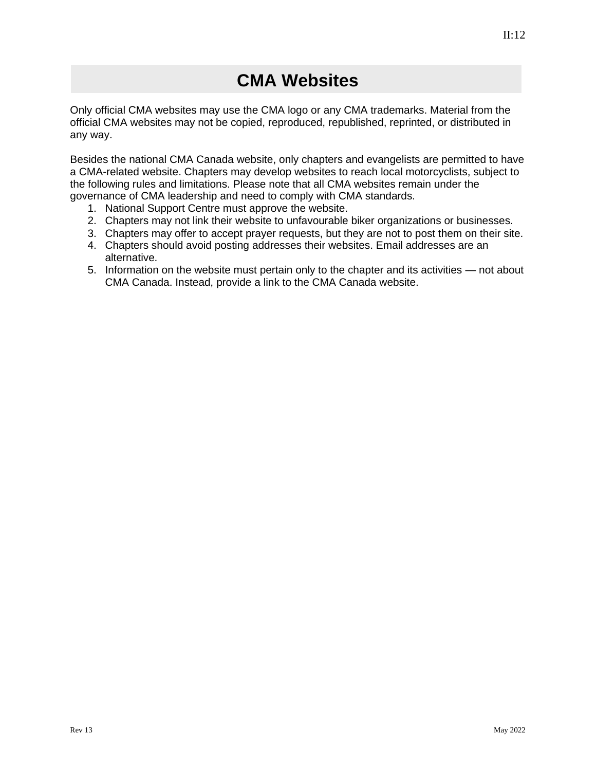<span id="page-19-0"></span>Only official CMA websites may use the CMA logo or any CMA trademarks. Material from the official CMA websites may not be copied, reproduced, republished, reprinted, or distributed in any way.

Besides the national CMA Canada website, only chapters and evangelists are permitted to have a CMA-related website. Chapters may develop websites to reach local motorcyclists, subject to the following rules and limitations. Please note that all CMA websites remain under the governance of CMA leadership and need to comply with CMA standards.

- 1. National Support Centre must approve the website.
- 2. Chapters may not link their website to unfavourable biker organizations or businesses.
- 3. Chapters may offer to accept prayer requests, but they are not to post them on their site.
- 4. Chapters should avoid posting addresses their websites. Email addresses are an alternative.
- 5. Information on the website must pertain only to the chapter and its activities not about CMA Canada. Instead, provide a link to the CMA Canada website.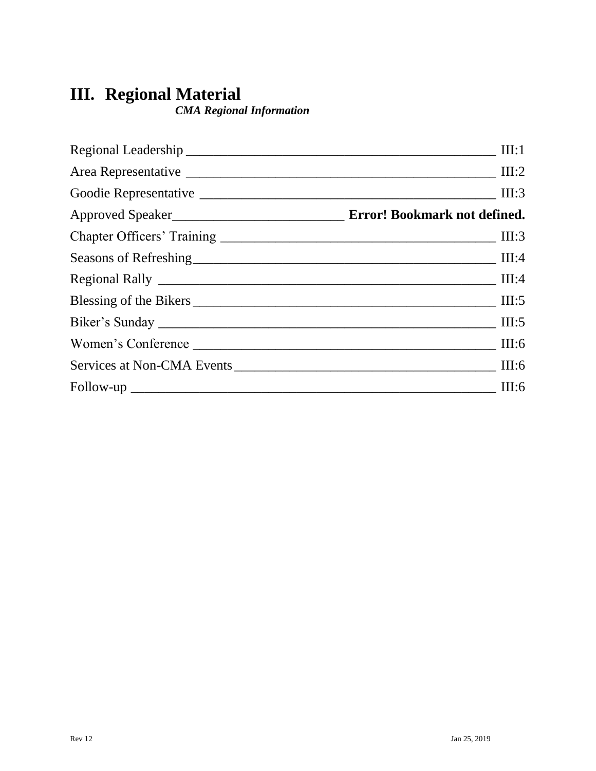### **III. Regional Material**

*CMA Regional Information*

| III:1 |
|-------|
|       |
| III:3 |
|       |
|       |
|       |
|       |
|       |
|       |
| III:6 |
|       |
| III:6 |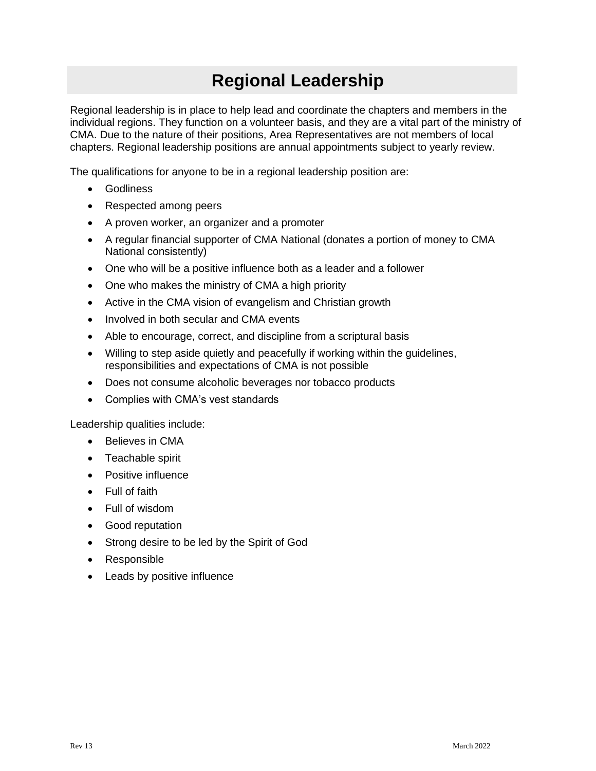### **Regional Leadership**

<span id="page-22-0"></span>Regional leadership is in place to help lead and coordinate the chapters and members in the individual regions. They function on a volunteer basis, and they are a vital part of the ministry of CMA. Due to the nature of their positions, Area Representatives are not members of local chapters. Regional leadership positions are annual appointments subject to yearly review.

The qualifications for anyone to be in a regional leadership position are:

- **Godliness**
- Respected among peers
- A proven worker, an organizer and a promoter
- A regular financial supporter of CMA National (donates a portion of money to CMA National consistently)
- One who will be a positive influence both as a leader and a follower
- One who makes the ministry of CMA a high priority
- Active in the CMA vision of evangelism and Christian growth
- Involved in both secular and CMA events
- Able to encourage, correct, and discipline from a scriptural basis
- Willing to step aside quietly and peacefully if working within the guidelines, responsibilities and expectations of CMA is not possible
- Does not consume alcoholic beverages nor tobacco products
- Complies with CMA's vest standards

Leadership qualities include:

- Believes in CMA
- Teachable spirit
- Positive influence
- Full of faith
- Full of wisdom
- Good reputation
- Strong desire to be led by the Spirit of God
- Responsible
- Leads by positive influence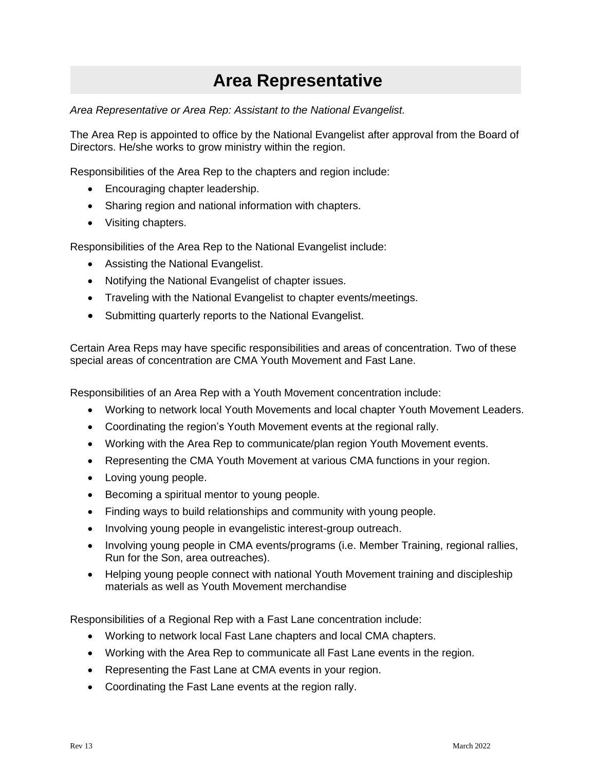### **Area Representative**

<span id="page-23-0"></span>*Area Representative or Area Rep: Assistant to the National Evangelist.*

The Area Rep is appointed to office by the National Evangelist after approval from the Board of Directors. He/she works to grow ministry within the region.

Responsibilities of the Area Rep to the chapters and region include:

- Encouraging chapter leadership.
- Sharing region and national information with chapters.
- Visiting chapters.

Responsibilities of the Area Rep to the National Evangelist include:

- Assisting the National Evangelist.
- Notifying the National Evangelist of chapter issues.
- Traveling with the National Evangelist to chapter events/meetings.
- Submitting quarterly reports to the National Evangelist.

Certain Area Reps may have specific responsibilities and areas of concentration. Two of these special areas of concentration are CMA Youth Movement and Fast Lane.

Responsibilities of an Area Rep with a Youth Movement concentration include:

- Working to network local Youth Movements and local chapter Youth Movement Leaders.
- Coordinating the region's Youth Movement events at the regional rally.
- Working with the Area Rep to communicate/plan region Youth Movement events.
- Representing the CMA Youth Movement at various CMA functions in your region.
- Loving young people.
- Becoming a spiritual mentor to young people.
- Finding ways to build relationships and community with young people.
- Involving young people in evangelistic interest-group outreach.
- Involving young people in CMA events/programs (i.e. Member Training, regional rallies, Run for the Son, area outreaches).
- Helping young people connect with national Youth Movement training and discipleship materials as well as Youth Movement merchandise

Responsibilities of a Regional Rep with a Fast Lane concentration include:

- Working to network local Fast Lane chapters and local CMA chapters.
- Working with the Area Rep to communicate all Fast Lane events in the region.
- Representing the Fast Lane at CMA events in your region.
- Coordinating the Fast Lane events at the region rally.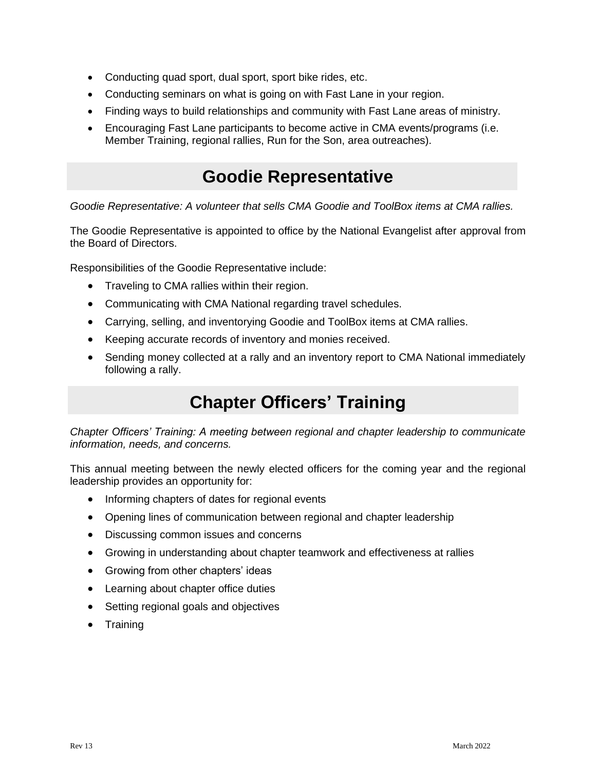- Conducting quad sport, dual sport, sport bike rides, etc.
- Conducting seminars on what is going on with Fast Lane in your region.
- Finding ways to build relationships and community with Fast Lane areas of ministry.
- Encouraging Fast Lane participants to become active in CMA events/programs (i.e. Member Training, regional rallies, Run for the Son, area outreaches).

#### **Goodie Representative**

<span id="page-24-0"></span>*Goodie Representative: A volunteer that sells CMA Goodie and ToolBox items at CMA rallies.*

The Goodie Representative is appointed to office by the National Evangelist after approval from the Board of Directors.

Responsibilities of the Goodie Representative include:

- Traveling to CMA rallies within their region.
- Communicating with CMA National regarding travel schedules.
- Carrying, selling, and inventorying Goodie and ToolBox items at CMA rallies.
- Keeping accurate records of inventory and monies received.
- Sending money collected at a rally and an inventory report to CMA National immediately following a rally.

### **Chapter Officers' Training**

<span id="page-24-1"></span>*Chapter Officers' Training: A meeting between regional and chapter leadership to communicate information, needs, and concerns.*

This annual meeting between the newly elected officers for the coming year and the regional leadership provides an opportunity for:

- Informing chapters of dates for regional events
- Opening lines of communication between regional and chapter leadership
- Discussing common issues and concerns
- Growing in understanding about chapter teamwork and effectiveness at rallies
- Growing from other chapters' ideas
- Learning about chapter office duties
- Setting regional goals and objectives
- Training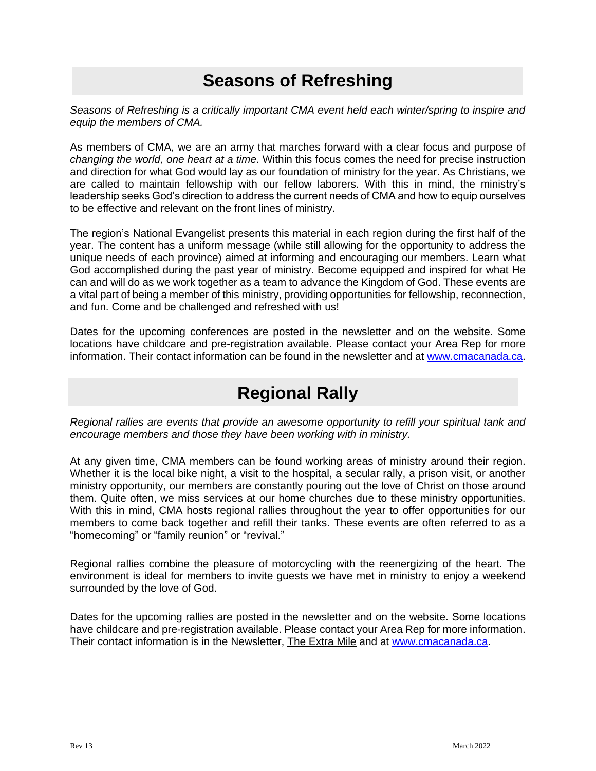### **Seasons of Refreshing**

<span id="page-25-0"></span>*Seasons of Refreshing is a critically important CMA event held each winter/spring to inspire and equip the members of CMA.* 

As members of CMA, we are an army that marches forward with a clear focus and purpose of *changing the world, one heart at a time*. Within this focus comes the need for precise instruction and direction for what God would lay as our foundation of ministry for the year. As Christians, we are called to maintain fellowship with our fellow laborers. With this in mind, the ministry's leadership seeks God's direction to address the current needs of CMA and how to equip ourselves to be effective and relevant on the front lines of ministry.

The region's National Evangelist presents this material in each region during the first half of the year. The content has a uniform message (while still allowing for the opportunity to address the unique needs of each province) aimed at informing and encouraging our members. Learn what God accomplished during the past year of ministry. Become equipped and inspired for what He can and will do as we work together as a team to advance the Kingdom of God. These events are a vital part of being a member of this ministry, providing opportunities for fellowship, reconnection, and fun. Come and be challenged and refreshed with us!

Dates for the upcoming conferences are posted in the newsletter and on the website. Some locations have childcare and pre-registration available. Please contact your Area Rep for more information. Their contact information can be found in the newsletter and at [www.cmacanada.ca.](http://www.cmacanada.ca/)

#### **Regional Rally**

<span id="page-25-1"></span>*Regional rallies are events that provide an awesome opportunity to refill your spiritual tank and encourage members and those they have been working with in ministry.*

At any given time, CMA members can be found working areas of ministry around their region. Whether it is the local bike night, a visit to the hospital, a secular rally, a prison visit, or another ministry opportunity, our members are constantly pouring out the love of Christ on those around them. Quite often, we miss services at our home churches due to these ministry opportunities. With this in mind, CMA hosts regional rallies throughout the year to offer opportunities for our members to come back together and refill their tanks. These events are often referred to as a "homecoming" or "family reunion" or "revival."

Regional rallies combine the pleasure of motorcycling with the reenergizing of the heart. The environment is ideal for members to invite guests we have met in ministry to enjoy a weekend surrounded by the love of God.

Dates for the upcoming rallies are posted in the newsletter and on the website. Some locations have childcare and pre-registration available. Please contact your Area Rep for more information. Their contact information is in the Newsletter, The Extra Mile and at [www.cmacanada.ca.](http://www.cmacanada.ca/)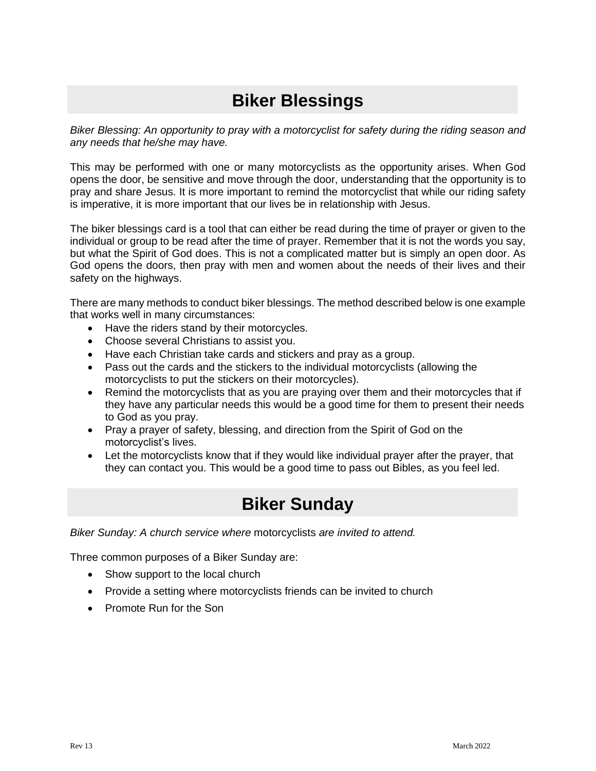### **Biker Blessings**

<span id="page-26-0"></span>*Biker Blessing: An opportunity to pray with a motorcyclist for safety during the riding season and any needs that he/she may have.*

This may be performed with one or many motorcyclists as the opportunity arises. When God opens the door, be sensitive and move through the door, understanding that the opportunity is to pray and share Jesus. It is more important to remind the motorcyclist that while our riding safety is imperative, it is more important that our lives be in relationship with Jesus.

The biker blessings card is a tool that can either be read during the time of prayer or given to the individual or group to be read after the time of prayer. Remember that it is not the words you say, but what the Spirit of God does. This is not a complicated matter but is simply an open door. As God opens the doors, then pray with men and women about the needs of their lives and their safety on the highways.

There are many methods to conduct biker blessings. The method described below is one example that works well in many circumstances:

- Have the riders stand by their motorcycles.
- Choose several Christians to assist you.
- Have each Christian take cards and stickers and pray as a group.
- Pass out the cards and the stickers to the individual motorcyclists (allowing the motorcyclists to put the stickers on their motorcycles).
- Remind the motorcyclists that as you are praying over them and their motorcycles that if they have any particular needs this would be a good time for them to present their needs to God as you pray.
- Pray a prayer of safety, blessing, and direction from the Spirit of God on the motorcyclist's lives.
- Let the motorcyclists know that if they would like individual prayer after the prayer, that they can contact you. This would be a good time to pass out Bibles, as you feel led.

#### **Biker Sunday**

<span id="page-26-1"></span>*Biker Sunday: A church service where* motorcyclists *are invited to attend.*

Three common purposes of a Biker Sunday are:

- Show support to the local church
- Provide a setting where motorcyclists friends can be invited to church
- Promote Run for the Son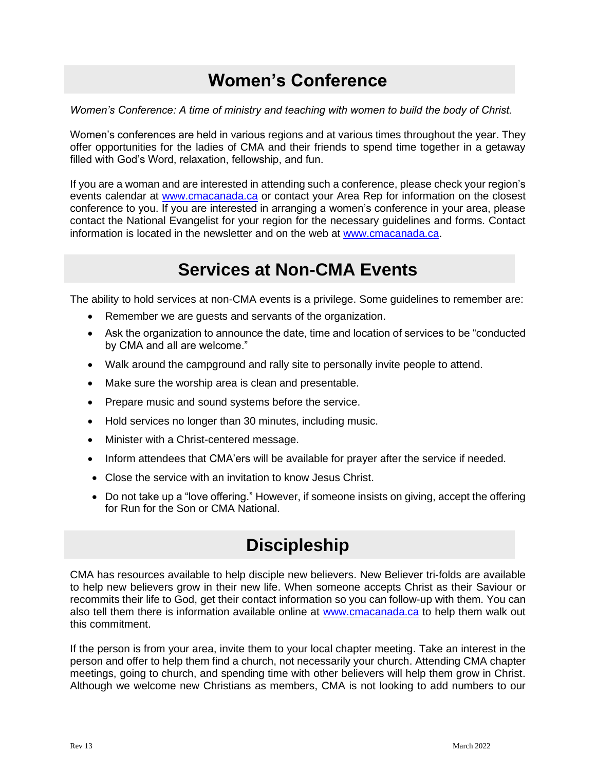### **Women's Conference**

<span id="page-27-0"></span>*Women's Conference: A time of ministry and teaching with women to build the body of Christ.*

Women's conferences are held in various regions and at various times throughout the year. They offer opportunities for the ladies of CMA and their friends to spend time together in a getaway filled with God's Word, relaxation, fellowship, and fun.

If you are a woman and are interested in attending such a conference, please check your region's events calendar at [www.cmacanada.ca](http://www.cmacanada.ca/) or contact your Area Rep for information on the closest conference to you. If you are interested in arranging a women's conference in your area, please contact the National Evangelist for your region for the necessary guidelines and forms. Contact information is located in the newsletter and on the web at [www.cmacanada.ca.](http://www.cmacanada.ca/)

#### **Services at Non-CMA Events**

<span id="page-27-1"></span>The ability to hold services at non-CMA events is a privilege. Some guidelines to remember are:

- Remember we are guests and servants of the organization.
- Ask the organization to announce the date, time and location of services to be "conducted by CMA and all are welcome."
- Walk around the campground and rally site to personally invite people to attend.
- Make sure the worship area is clean and presentable.
- Prepare music and sound systems before the service.
- Hold services no longer than 30 minutes, including music.
- Minister with a Christ-centered message.
- Inform attendees that CMA'ers will be available for prayer after the service if needed.
- Close the service with an invitation to know Jesus Christ.
- <span id="page-27-2"></span>• Do not take up a "love offering." However, if someone insists on giving, accept the offering for Run for the Son or CMA National.

### **Discipleship**

CMA has resources available to help disciple new believers. New Believer tri-folds are available to help new believers grow in their new life. When someone accepts Christ as their Saviour or recommits their life to God, get their contact information so you can follow-up with them. You can also tell them there is information available online at [www.cmacanada.ca](http://www.cmacanada.ca/) to help them walk out this commitment.

If the person is from your area, invite them to your local chapter meeting. Take an interest in the person and offer to help them find a church, not necessarily your church. Attending CMA chapter meetings, going to church, and spending time with other believers will help them grow in Christ. Although we welcome new Christians as members, CMA is not looking to add numbers to our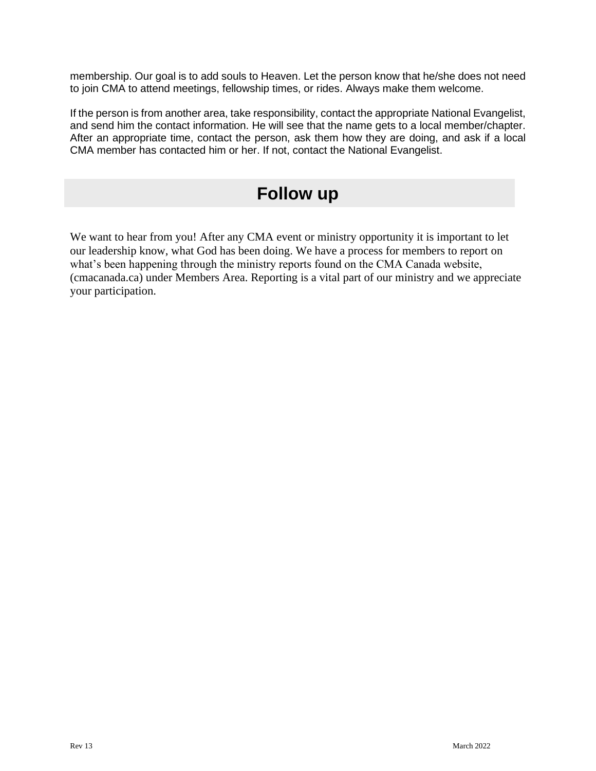membership. Our goal is to add souls to Heaven. Let the person know that he/she does not need to join CMA to attend meetings, fellowship times, or rides. Always make them welcome.

If the person is from another area, take responsibility, contact the appropriate National Evangelist, and send him the contact information. He will see that the name gets to a local member/chapter. After an appropriate time, contact the person, ask them how they are doing, and ask if a local CMA member has contacted him or her. If not, contact the National Evangelist.

#### **Follow up**

We want to hear from you! After any CMA event or ministry opportunity it is important to let our leadership know, what God has been doing. We have a process for members to report on what's been happening through the ministry reports found on the CMA Canada website, (cmacanada.ca) under Members Area. Reporting is a vital part of our ministry and we appreciate your participation.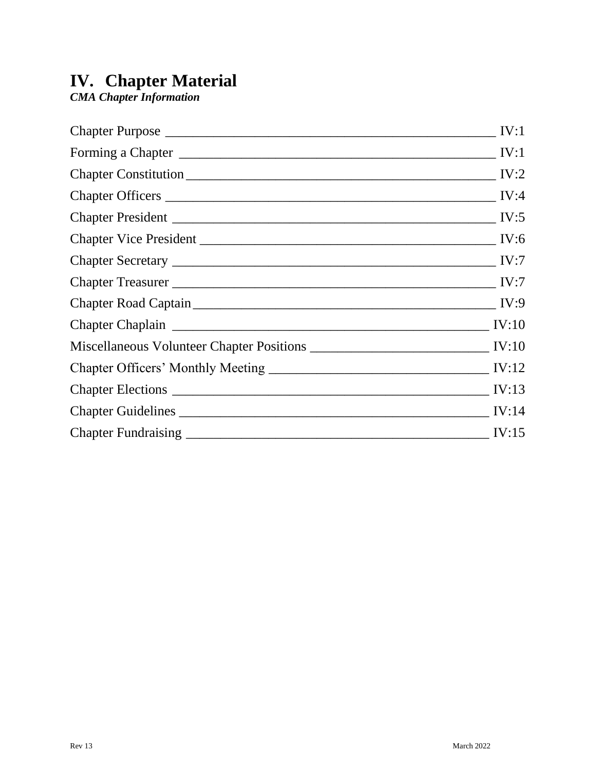#### **IV. Chapter Material**

*CMA Chapter Information*

| IV:1              |
|-------------------|
|                   |
|                   |
|                   |
|                   |
| IV:6              |
|                   |
|                   |
|                   |
|                   |
|                   |
|                   |
|                   |
|                   |
| $\frac{IV:15}{1}$ |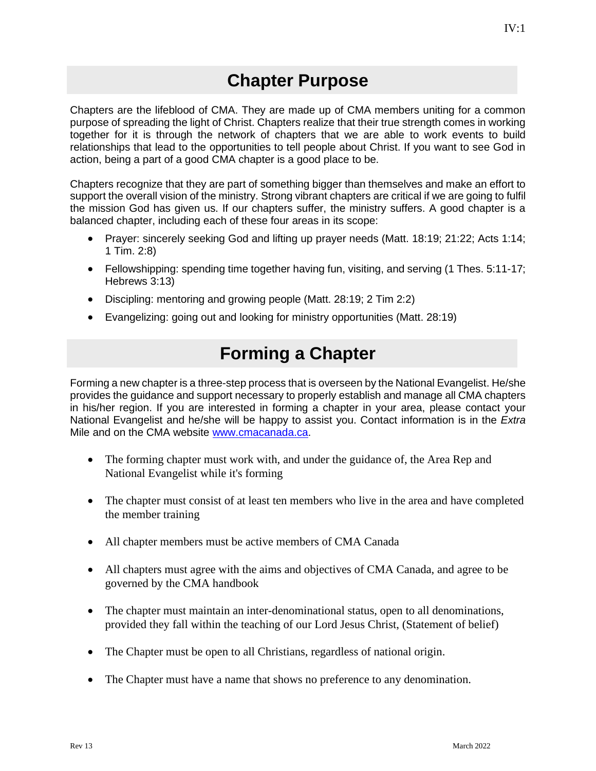#### **Chapter Purpose**

<span id="page-30-0"></span>Chapters are the lifeblood of CMA. They are made up of CMA members uniting for a common purpose of spreading the light of Christ. Chapters realize that their true strength comes in working together for it is through the network of chapters that we are able to work events to build relationships that lead to the opportunities to tell people about Christ. If you want to see God in action, being a part of a good CMA chapter is a good place to be.

Chapters recognize that they are part of something bigger than themselves and make an effort to support the overall vision of the ministry. Strong vibrant chapters are critical if we are going to fulfil the mission God has given us. If our chapters suffer, the ministry suffers. A good chapter is a balanced chapter, including each of these four areas in its scope:

- Prayer: sincerely seeking God and lifting up prayer needs (Matt. 18:19; 21:22; Acts 1:14; 1 Tim. 2:8)
- Fellowshipping: spending time together having fun, visiting, and serving (1 Thes. 5:11-17; Hebrews 3:13)
- Discipling: mentoring and growing people (Matt. 28:19; 2 Tim 2:2)
- Evangelizing: going out and looking for ministry opportunities (Matt. 28:19)

## **Forming a Chapter**

<span id="page-30-1"></span>Forming a new chapter is a three-step process that is overseen by the National Evangelist. He/she provides the guidance and support necessary to properly establish and manage all CMA chapters in his/her region. If you are interested in forming a chapter in your area, please contact your National Evangelist and he/she will be happy to assist you. Contact information is in the *Extra*  Mile and on the CMA website [www.cmacanada.ca.](http://www.cmacanada.ca/)

- The forming chapter must work with, and under the guidance of, the Area Rep and National Evangelist while it's forming
- The chapter must consist of at least ten members who live in the area and have completed the member training
- All chapter members must be active members of CMA Canada
- All chapters must agree with the aims and objectives of CMA Canada, and agree to be governed by the CMA handbook
- The chapter must maintain an inter-denominational status, open to all denominations, provided they fall within the teaching of our Lord Jesus Christ, (Statement of belief)
- The Chapter must be open to all Christians, regardless of national origin.
- The Chapter must have a name that shows no preference to any denomination.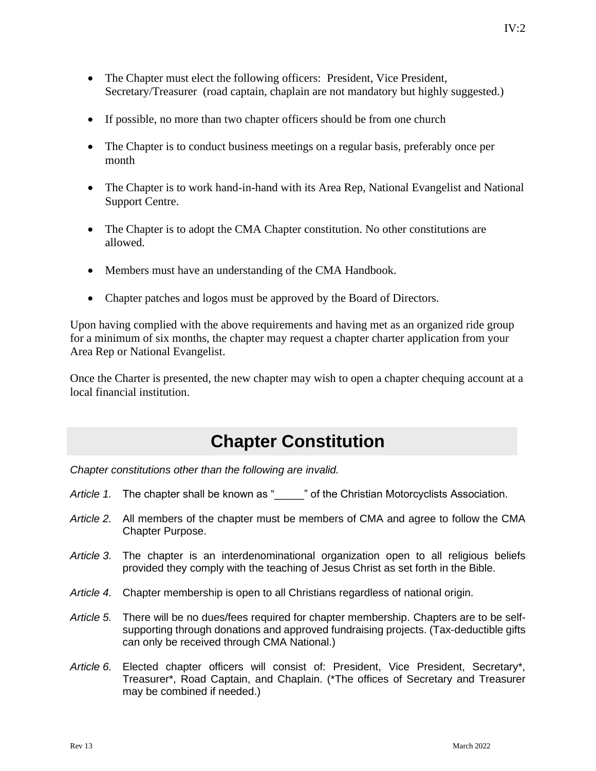- The Chapter must elect the following officers: President, Vice President, Secretary/Treasurer (road captain, chaplain are not mandatory but highly suggested.)
- If possible, no more than two chapter officers should be from one church
- The Chapter is to conduct business meetings on a regular basis, preferably once per month
- The Chapter is to work hand-in-hand with its Area Rep, National Evangelist and National Support Centre.
- The Chapter is to adopt the CMA Chapter constitution. No other constitutions are allowed.
- Members must have an understanding of the CMA Handbook.
- Chapter patches and logos must be approved by the Board of Directors.

Upon having complied with the above requirements and having met as an organized ride group for a minimum of six months, the chapter may request a chapter charter application from your Area Rep or National Evangelist.

Once the Charter is presented, the new chapter may wish to open a chapter chequing account at a local financial institution.

#### **Chapter Constitution**

<span id="page-31-0"></span>*Chapter constitutions other than the following are invalid.*

- Article 1. The chapter shall be known as "  $\blacksquare$  " of the Christian Motorcyclists Association.
- *Article 2.* All members of the chapter must be members of CMA and agree to follow the CMA Chapter Purpose.
- *Article 3.* The chapter is an interdenominational organization open to all religious beliefs provided they comply with the teaching of Jesus Christ as set forth in the Bible.
- *Article 4.* Chapter membership is open to all Christians regardless of national origin.
- *Article 5.* There will be no dues/fees required for chapter membership. Chapters are to be selfsupporting through donations and approved fundraising projects. (Tax-deductible gifts can only be received through CMA National.)
- *Article 6.* Elected chapter officers will consist of: President, Vice President, Secretary\*, Treasurer\*, Road Captain, and Chaplain. (\*The offices of Secretary and Treasurer may be combined if needed.)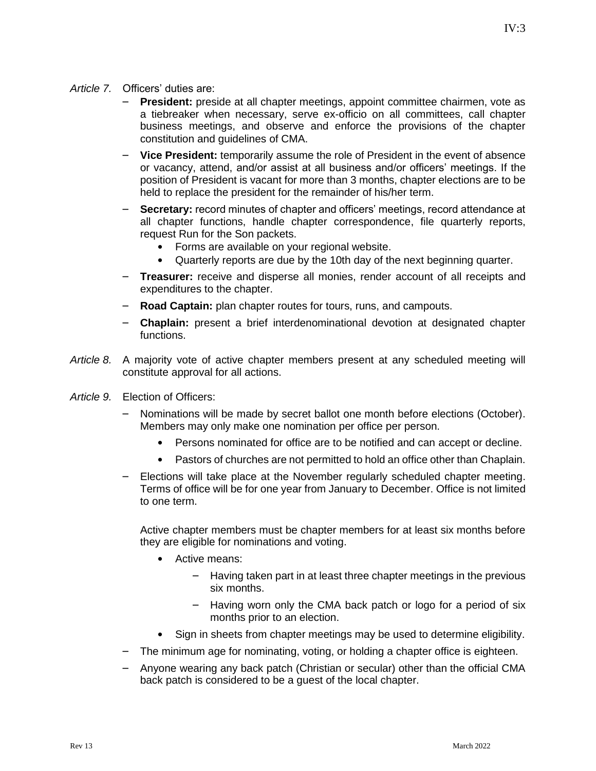- **President:** preside at all chapter meetings, appoint committee chairmen, vote as a tiebreaker when necessary, serve ex-officio on all committees, call chapter business meetings, and observe and enforce the provisions of the chapter constitution and guidelines of CMA.
- **Vice President:** temporarily assume the role of President in the event of absence or vacancy, attend, and/or assist at all business and/or officers' meetings. If the position of President is vacant for more than 3 months, chapter elections are to be held to replace the president for the remainder of his/her term.
- **Secretary:** record minutes of chapter and officers' meetings, record attendance at all chapter functions, handle chapter correspondence, file quarterly reports, request Run for the Son packets.
	- Forms are available on your regional website.
	- Quarterly reports are due by the 10th day of the next beginning quarter.
- **Treasurer:** receive and disperse all monies, render account of all receipts and expenditures to the chapter.
- **Road Captain:** plan chapter routes for tours, runs, and campouts.
- **Chaplain:** present a brief interdenominational devotion at designated chapter functions.
- *Article 8.* A majority vote of active chapter members present at any scheduled meeting will constitute approval for all actions.
- *Article 9.* Election of Officers:
	- Nominations will be made by secret ballot one month before elections (October). Members may only make one nomination per office per person.
		- Persons nominated for office are to be notified and can accept or decline.
		- Pastors of churches are not permitted to hold an office other than Chaplain.
	- Elections will take place at the November regularly scheduled chapter meeting. Terms of office will be for one year from January to December. Office is not limited to one term.

Active chapter members must be chapter members for at least six months before they are eligible for nominations and voting.

- Active means:
	- Having taken part in at least three chapter meetings in the previous six months.
	- Having worn only the CMA back patch or logo for a period of six months prior to an election.
- Sign in sheets from chapter meetings may be used to determine eligibility.
- The minimum age for nominating, voting, or holding a chapter office is eighteen.
- Anyone wearing any back patch (Christian or secular) other than the official CMA back patch is considered to be a guest of the local chapter.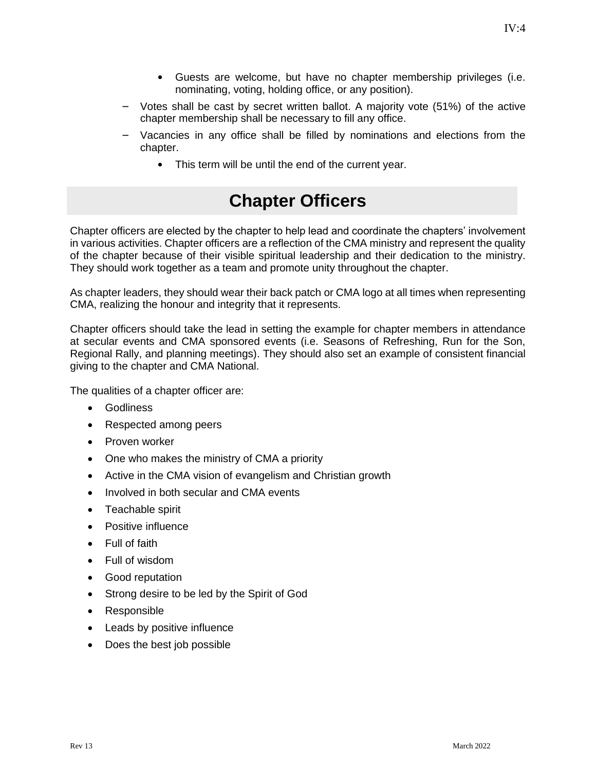- Guests are welcome, but have no chapter membership privileges (i.e. nominating, voting, holding office, or any position).
- Votes shall be cast by secret written ballot. A majority vote (51%) of the active chapter membership shall be necessary to fill any office.
- Vacancies in any office shall be filled by nominations and elections from the chapter.
	- This term will be until the end of the current year.

#### **Chapter Officers**

<span id="page-33-0"></span>Chapter officers are elected by the chapter to help lead and coordinate the chapters' involvement in various activities. Chapter officers are a reflection of the CMA ministry and represent the quality of the chapter because of their visible spiritual leadership and their dedication to the ministry. They should work together as a team and promote unity throughout the chapter.

As chapter leaders, they should wear their back patch or CMA logo at all times when representing CMA, realizing the honour and integrity that it represents.

Chapter officers should take the lead in setting the example for chapter members in attendance at secular events and CMA sponsored events (i.e. Seasons of Refreshing, Run for the Son, Regional Rally, and planning meetings). They should also set an example of consistent financial giving to the chapter and CMA National.

The qualities of a chapter officer are:

- **Godliness**
- Respected among peers
- Proven worker
- One who makes the ministry of CMA a priority
- Active in the CMA vision of evangelism and Christian growth
- Involved in both secular and CMA events
- Teachable spirit
- Positive influence
- Full of faith
- Full of wisdom
- Good reputation
- Strong desire to be led by the Spirit of God
- Responsible
- Leads by positive influence
- Does the best job possible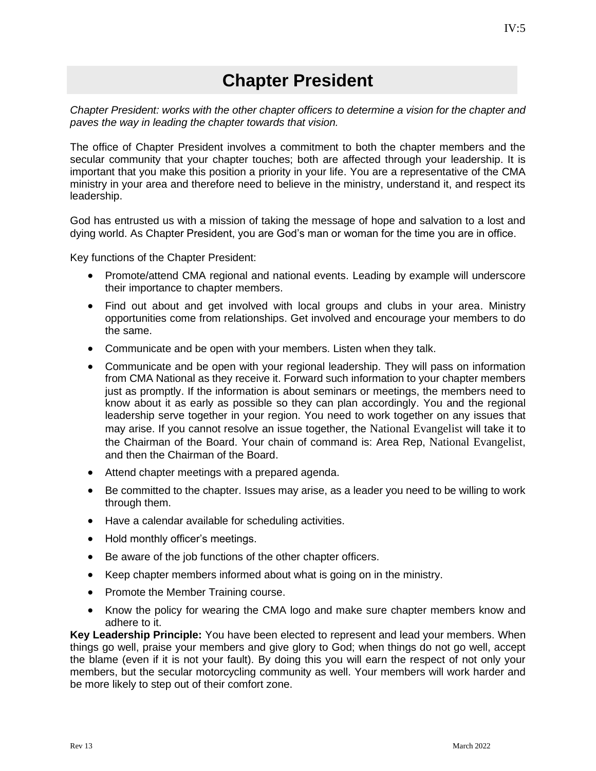#### **Chapter President**

<span id="page-34-0"></span>*Chapter President: works with the other chapter officers to determine a vision for the chapter and paves the way in leading the chapter towards that vision.*

The office of Chapter President involves a commitment to both the chapter members and the secular community that your chapter touches; both are affected through your leadership. It is important that you make this position a priority in your life. You are a representative of the CMA ministry in your area and therefore need to believe in the ministry, understand it, and respect its leadership.

God has entrusted us with a mission of taking the message of hope and salvation to a lost and dying world. As Chapter President, you are God's man or woman for the time you are in office.

Key functions of the Chapter President:

- Promote/attend CMA regional and national events. Leading by example will underscore their importance to chapter members.
- Find out about and get involved with local groups and clubs in your area. Ministry opportunities come from relationships. Get involved and encourage your members to do the same.
- Communicate and be open with your members. Listen when they talk.
- Communicate and be open with your regional leadership. They will pass on information from CMA National as they receive it. Forward such information to your chapter members just as promptly. If the information is about seminars or meetings, the members need to know about it as early as possible so they can plan accordingly. You and the regional leadership serve together in your region. You need to work together on any issues that may arise. If you cannot resolve an issue together, the National Evangelist will take it to the Chairman of the Board. Your chain of command is: Area Rep, National Evangelist, and then the Chairman of the Board.
- Attend chapter meetings with a prepared agenda.
- Be committed to the chapter. Issues may arise, as a leader you need to be willing to work through them.
- Have a calendar available for scheduling activities.
- Hold monthly officer's meetings.
- Be aware of the job functions of the other chapter officers.
- Keep chapter members informed about what is going on in the ministry.
- Promote the Member Training course.
- Know the policy for wearing the CMA logo and make sure chapter members know and adhere to it.

**Key Leadership Principle:** You have been elected to represent and lead your members. When things go well, praise your members and give glory to God; when things do not go well, accept the blame (even if it is not your fault). By doing this you will earn the respect of not only your members, but the secular motorcycling community as well. Your members will work harder and be more likely to step out of their comfort zone.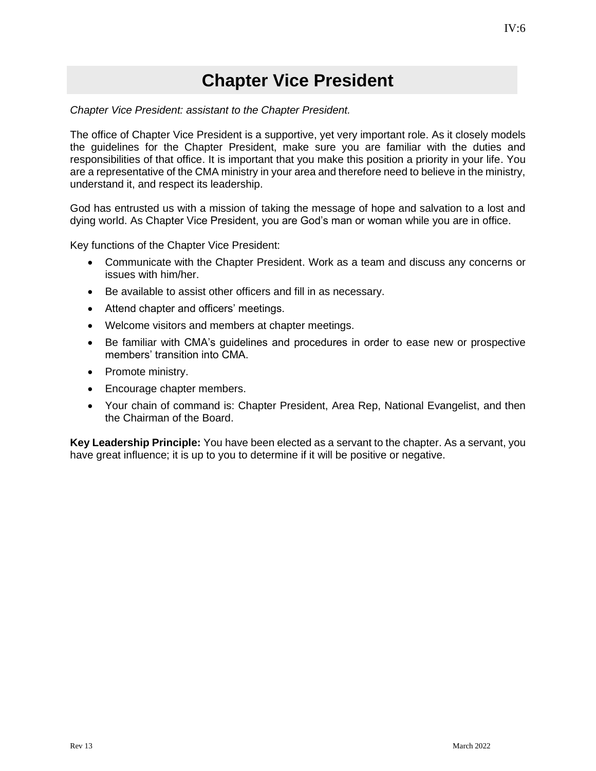#### **Chapter Vice President**

<span id="page-35-0"></span>*Chapter Vice President: assistant to the Chapter President.*

The office of Chapter Vice President is a supportive, yet very important role. As it closely models the guidelines for the Chapter President, make sure you are familiar with the duties and responsibilities of that office. It is important that you make this position a priority in your life. You are a representative of the CMA ministry in your area and therefore need to believe in the ministry, understand it, and respect its leadership.

God has entrusted us with a mission of taking the message of hope and salvation to a lost and dying world. As Chapter Vice President, you are God's man or woman while you are in office.

Key functions of the Chapter Vice President:

- Communicate with the Chapter President. Work as a team and discuss any concerns or issues with him/her.
- Be available to assist other officers and fill in as necessary.
- Attend chapter and officers' meetings.
- Welcome visitors and members at chapter meetings.
- Be familiar with CMA's guidelines and procedures in order to ease new or prospective members' transition into CMA.
- Promote ministry.
- Encourage chapter members.
- Your chain of command is: Chapter President, Area Rep, National Evangelist, and then the Chairman of the Board.

**Key Leadership Principle:** You have been elected as a servant to the chapter. As a servant, you have great influence; it is up to you to determine if it will be positive or negative.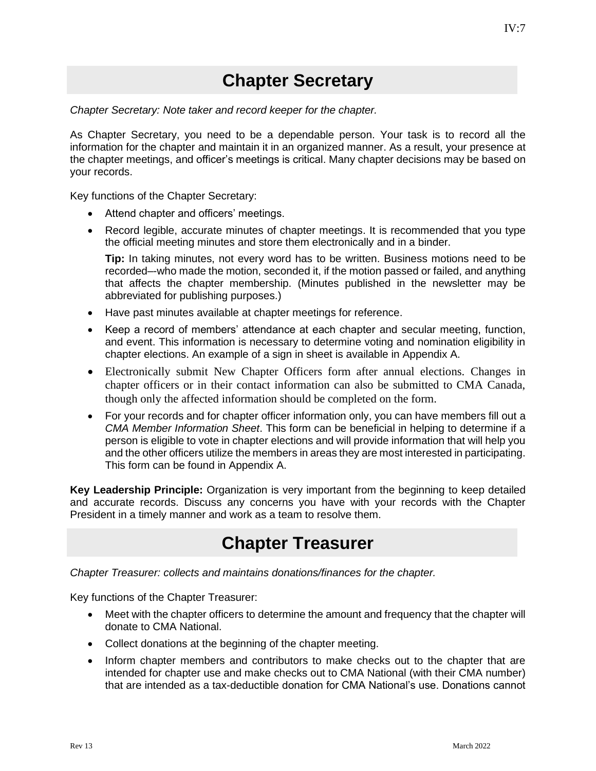### **Chapter Secretary**

<span id="page-36-0"></span>*Chapter Secretary: Note taker and record keeper for the chapter.*

As Chapter Secretary, you need to be a dependable person. Your task is to record all the information for the chapter and maintain it in an organized manner. As a result, your presence at the chapter meetings, and officer's meetings is critical. Many chapter decisions may be based on your records.

Key functions of the Chapter Secretary:

- Attend chapter and officers' meetings.
- Record legible, accurate minutes of chapter meetings. It is recommended that you type the official meeting minutes and store them electronically and in a binder.

**Tip:** In taking minutes, not every word has to be written. Business motions need to be recorded–-who made the motion, seconded it, if the motion passed or failed, and anything that affects the chapter membership. (Minutes published in the newsletter may be abbreviated for publishing purposes.)

- Have past minutes available at chapter meetings for reference.
- Keep a record of members' attendance at each chapter and secular meeting, function, and event. This information is necessary to determine voting and nomination eligibility in chapter elections. An example of a sign in sheet is available in Appendix A.
- Electronically submit New Chapter Officers form after annual elections. Changes in chapter officers or in their contact information can also be submitted to CMA Canada, though only the affected information should be completed on the form.
- For your records and for chapter officer information only, you can have members fill out a *CMA Member Information Sheet*. This form can be beneficial in helping to determine if a person is eligible to vote in chapter elections and will provide information that will help you and the other officers utilize the members in areas they are most interested in participating. This form can be found in Appendix A.

**Key Leadership Principle:** Organization is very important from the beginning to keep detailed and accurate records. Discuss any concerns you have with your records with the Chapter President in a timely manner and work as a team to resolve them.

### **Chapter Treasurer**

<span id="page-36-1"></span>*Chapter Treasurer: collects and maintains donations/finances for the chapter.*

Key functions of the Chapter Treasurer:

- Meet with the chapter officers to determine the amount and frequency that the chapter will donate to CMA National.
- Collect donations at the beginning of the chapter meeting.
- Inform chapter members and contributors to make checks out to the chapter that are intended for chapter use and make checks out to CMA National (with their CMA number) that are intended as a tax-deductible donation for CMA National's use. Donations cannot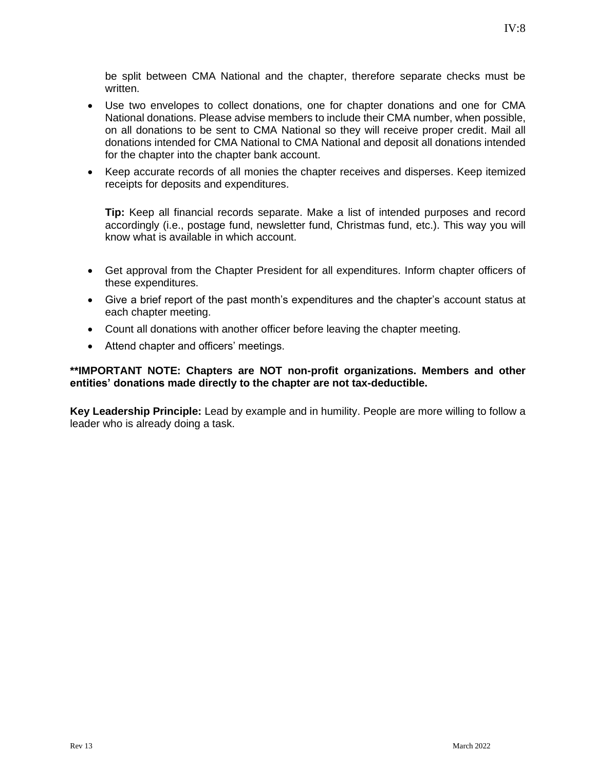be split between CMA National and the chapter, therefore separate checks must be written.

- Use two envelopes to collect donations, one for chapter donations and one for CMA National donations. Please advise members to include their CMA number, when possible, on all donations to be sent to CMA National so they will receive proper credit. Mail all donations intended for CMA National to CMA National and deposit all donations intended for the chapter into the chapter bank account.
- Keep accurate records of all monies the chapter receives and disperses. Keep itemized receipts for deposits and expenditures.

**Tip:** Keep all financial records separate. Make a list of intended purposes and record accordingly (i.e., postage fund, newsletter fund, Christmas fund, etc.). This way you will know what is available in which account.

- Get approval from the Chapter President for all expenditures. Inform chapter officers of these expenditures.
- Give a brief report of the past month's expenditures and the chapter's account status at each chapter meeting.
- Count all donations with another officer before leaving the chapter meeting.
- Attend chapter and officers' meetings.

#### **\*\*IMPORTANT NOTE: Chapters are NOT non-profit organizations. Members and other entities' donations made directly to the chapter are not tax-deductible.**

**Key Leadership Principle:** Lead by example and in humility. People are more willing to follow a leader who is already doing a task.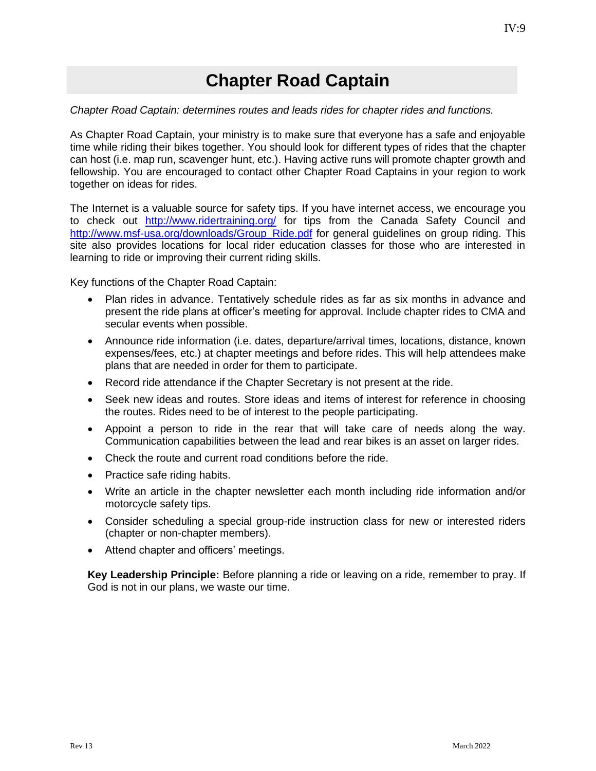#### **Chapter Road Captain**

#### <span id="page-38-0"></span>*Chapter Road Captain: determines routes and leads rides for chapter rides and functions.*

As Chapter Road Captain, your ministry is to make sure that everyone has a safe and enjoyable time while riding their bikes together. You should look for different types of rides that the chapter can host (i.e. map run, scavenger hunt, etc.). Having active runs will promote chapter growth and fellowship. You are encouraged to contact other Chapter Road Captains in your region to work together on ideas for rides.

The Internet is a valuable source for safety tips. If you have internet access, we encourage you to check out <http://www.ridertraining.org/> for tips from the Canada Safety Council and [http://www.msf-usa.org/downloads/Group\\_Ride.pdf](http://www.msf-usa.org/downloads/Group_Ride.pdf) for general guidelines on group riding. This site also provides locations for local rider education classes for those who are interested in learning to ride or improving their current riding skills.

Key functions of the Chapter Road Captain:

- Plan rides in advance. Tentatively schedule rides as far as six months in advance and present the ride plans at officer's meeting for approval. Include chapter rides to CMA and secular events when possible.
- Announce ride information (i.e. dates, departure/arrival times, locations, distance, known expenses/fees, etc.) at chapter meetings and before rides. This will help attendees make plans that are needed in order for them to participate.
- Record ride attendance if the Chapter Secretary is not present at the ride.
- Seek new ideas and routes. Store ideas and items of interest for reference in choosing the routes. Rides need to be of interest to the people participating.
- Appoint a person to ride in the rear that will take care of needs along the way. Communication capabilities between the lead and rear bikes is an asset on larger rides.
- Check the route and current road conditions before the ride.
- Practice safe riding habits.
- Write an article in the chapter newsletter each month including ride information and/or motorcycle safety tips.
- Consider scheduling a special group-ride instruction class for new or interested riders (chapter or non-chapter members).
- Attend chapter and officers' meetings.

**Key Leadership Principle:** Before planning a ride or leaving on a ride, remember to pray. If God is not in our plans, we waste our time.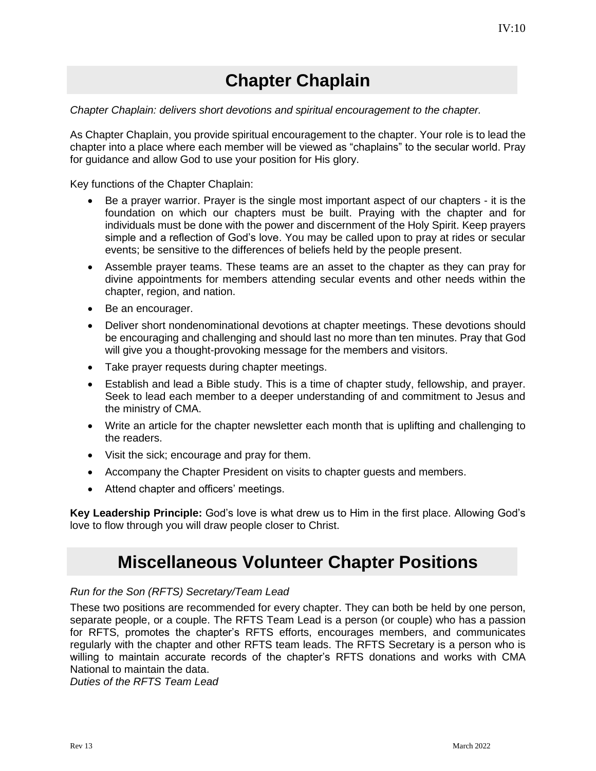### **Chapter Chaplain**

#### <span id="page-39-0"></span>*Chapter Chaplain: delivers short devotions and spiritual encouragement to the chapter.*

As Chapter Chaplain, you provide spiritual encouragement to the chapter. Your role is to lead the chapter into a place where each member will be viewed as "chaplains" to the secular world. Pray for guidance and allow God to use your position for His glory.

Key functions of the Chapter Chaplain:

- Be a prayer warrior. Prayer is the single most important aspect of our chapters it is the foundation on which our chapters must be built. Praying with the chapter and for individuals must be done with the power and discernment of the Holy Spirit. Keep prayers simple and a reflection of God's love. You may be called upon to pray at rides or secular events; be sensitive to the differences of beliefs held by the people present.
- Assemble prayer teams. These teams are an asset to the chapter as they can pray for divine appointments for members attending secular events and other needs within the chapter, region, and nation.
- Be an encourager.
- Deliver short nondenominational devotions at chapter meetings. These devotions should be encouraging and challenging and should last no more than ten minutes. Pray that God will give you a thought-provoking message for the members and visitors.
- Take prayer requests during chapter meetings.
- Establish and lead a Bible study. This is a time of chapter study, fellowship, and prayer. Seek to lead each member to a deeper understanding of and commitment to Jesus and the ministry of CMA.
- Write an article for the chapter newsletter each month that is uplifting and challenging to the readers.
- Visit the sick; encourage and pray for them.
- Accompany the Chapter President on visits to chapter guests and members.
- Attend chapter and officers' meetings.

**Key Leadership Principle:** God's love is what drew us to Him in the first place. Allowing God's love to flow through you will draw people closer to Christ.

#### **Miscellaneous Volunteer Chapter Positions**

#### <span id="page-39-1"></span>*Run for the Son (RFTS) Secretary/Team Lead*

These two positions are recommended for every chapter. They can both be held by one person, separate people, or a couple. The RFTS Team Lead is a person (or couple) who has a passion for RFTS, promotes the chapter's RFTS efforts, encourages members, and communicates regularly with the chapter and other RFTS team leads. The RFTS Secretary is a person who is willing to maintain accurate records of the chapter's RFTS donations and works with CMA National to maintain the data.

*Duties of the RFTS Team Lead*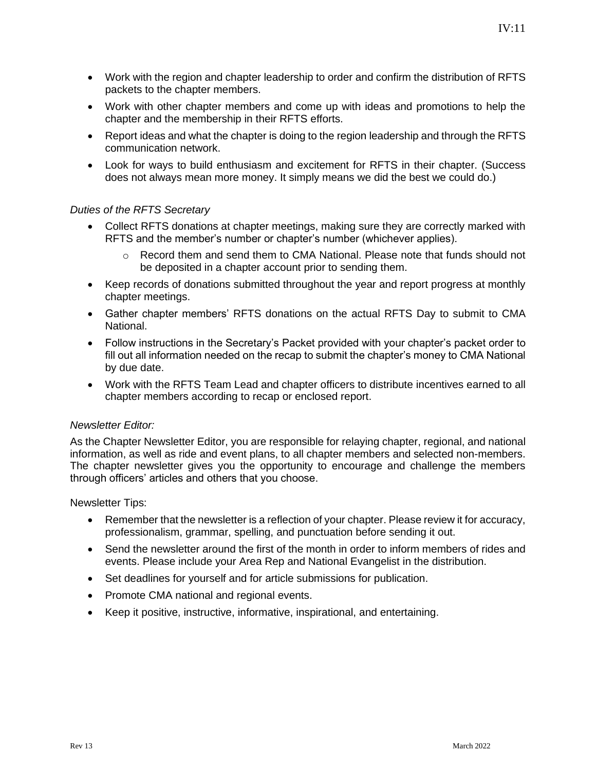- Work with the region and chapter leadership to order and confirm the distribution of RFTS packets to the chapter members.
- Work with other chapter members and come up with ideas and promotions to help the chapter and the membership in their RFTS efforts.
- Report ideas and what the chapter is doing to the region leadership and through the RFTS communication network.
- Look for ways to build enthusiasm and excitement for RFTS in their chapter. (Success does not always mean more money. It simply means we did the best we could do.)

#### *Duties of the RFTS Secretary*

- Collect RFTS donations at chapter meetings, making sure they are correctly marked with RFTS and the member's number or chapter's number (whichever applies).
	- o Record them and send them to CMA National. Please note that funds should not be deposited in a chapter account prior to sending them.
- Keep records of donations submitted throughout the year and report progress at monthly chapter meetings.
- Gather chapter members' RFTS donations on the actual RFTS Day to submit to CMA National.
- Follow instructions in the Secretary's Packet provided with your chapter's packet order to fill out all information needed on the recap to submit the chapter's money to CMA National by due date.
- Work with the RFTS Team Lead and chapter officers to distribute incentives earned to all chapter members according to recap or enclosed report.

#### *Newsletter Editor:*

As the Chapter Newsletter Editor, you are responsible for relaying chapter, regional, and national information, as well as ride and event plans, to all chapter members and selected non-members. The chapter newsletter gives you the opportunity to encourage and challenge the members through officers' articles and others that you choose.

Newsletter Tips:

- Remember that the newsletter is a reflection of your chapter. Please review it for accuracy, professionalism, grammar, spelling, and punctuation before sending it out.
- Send the newsletter around the first of the month in order to inform members of rides and events. Please include your Area Rep and National Evangelist in the distribution.
- Set deadlines for yourself and for article submissions for publication.
- Promote CMA national and regional events.
- Keep it positive, instructive, informative, inspirational, and entertaining.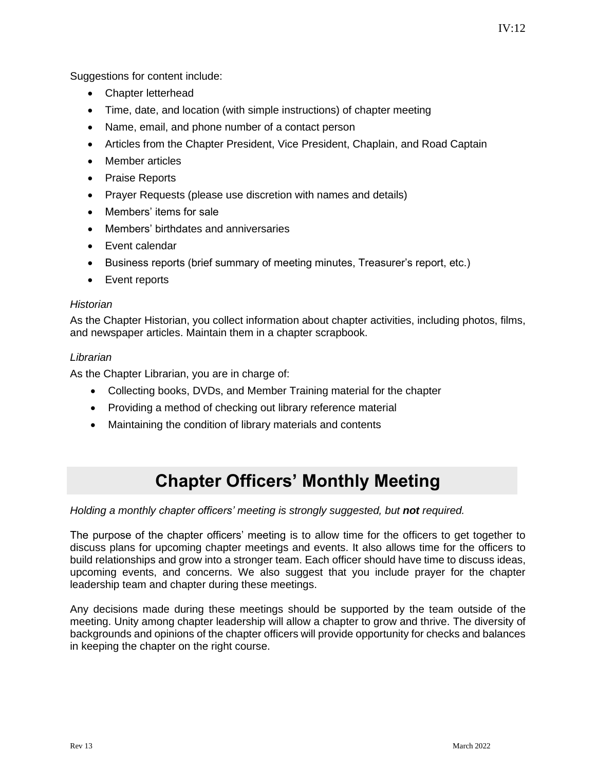Suggestions for content include:

- Chapter letterhead
- Time, date, and location (with simple instructions) of chapter meeting
- Name, email, and phone number of a contact person
- Articles from the Chapter President, Vice President, Chaplain, and Road Captain
- Member articles
- Praise Reports
- Prayer Requests (please use discretion with names and details)
- Members' items for sale
- Members' birthdates and anniversaries
- Event calendar
- Business reports (brief summary of meeting minutes, Treasurer's report, etc.)
- Event reports

#### *Historian*

As the Chapter Historian, you collect information about chapter activities, including photos, films, and newspaper articles. Maintain them in a chapter scrapbook.

#### *Librarian*

As the Chapter Librarian, you are in charge of:

- Collecting books, DVDs, and Member Training material for the chapter
- Providing a method of checking out library reference material
- Maintaining the condition of library materials and contents

### **Chapter Officers' Monthly Meeting**

<span id="page-41-0"></span>*Holding a monthly chapter officers' meeting is strongly suggested, but not required.* 

The purpose of the chapter officers' meeting is to allow time for the officers to get together to discuss plans for upcoming chapter meetings and events. It also allows time for the officers to build relationships and grow into a stronger team. Each officer should have time to discuss ideas, upcoming events, and concerns. We also suggest that you include prayer for the chapter leadership team and chapter during these meetings.

Any decisions made during these meetings should be supported by the team outside of the meeting. Unity among chapter leadership will allow a chapter to grow and thrive. The diversity of backgrounds and opinions of the chapter officers will provide opportunity for checks and balances in keeping the chapter on the right course.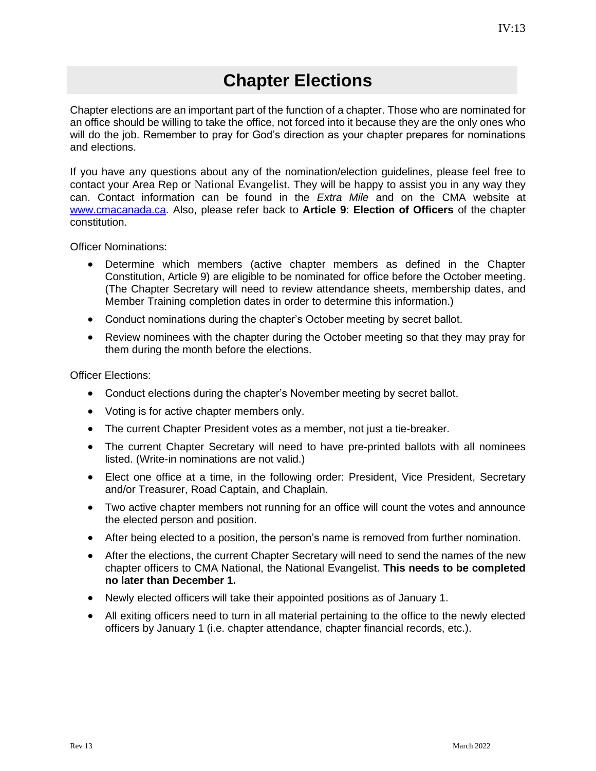### **Chapter Elections**

<span id="page-42-0"></span>Chapter elections are an important part of the function of a chapter. Those who are nominated for an office should be willing to take the office, not forced into it because they are the only ones who will do the job. Remember to pray for God's direction as your chapter prepares for nominations and elections.

If you have any questions about any of the nomination/election guidelines, please feel free to contact your Area Rep or National Evangelist. They will be happy to assist you in any way they can. Contact information can be found in the *Extra Mile* and on the CMA website at [www.cmacanada.ca.](http://www.cmacanada.ca/) Also, please refer back to **Article 9**: **Election of Officers** of the chapter constitution.

Officer Nominations:

- Determine which members (active chapter members as defined in the Chapter Constitution, Article 9) are eligible to be nominated for office before the October meeting. (The Chapter Secretary will need to review attendance sheets, membership dates, and Member Training completion dates in order to determine this information.)
- Conduct nominations during the chapter's October meeting by secret ballot.
- Review nominees with the chapter during the October meeting so that they may pray for them during the month before the elections.

Officer Elections:

- Conduct elections during the chapter's November meeting by secret ballot.
- Voting is for active chapter members only.
- The current Chapter President votes as a member, not just a tie-breaker.
- The current Chapter Secretary will need to have pre-printed ballots with all nominees listed. (Write-in nominations are not valid.)
- Elect one office at a time, in the following order: President, Vice President, Secretary and/or Treasurer, Road Captain, and Chaplain.
- Two active chapter members not running for an office will count the votes and announce the elected person and position.
- After being elected to a position, the person's name is removed from further nomination.
- After the elections, the current Chapter Secretary will need to send the names of the new chapter officers to CMA National, the National Evangelist. **This needs to be completed no later than December 1.**
- Newly elected officers will take their appointed positions as of January 1.
- All exiting officers need to turn in all material pertaining to the office to the newly elected officers by January 1 (i.e. chapter attendance, chapter financial records, etc.).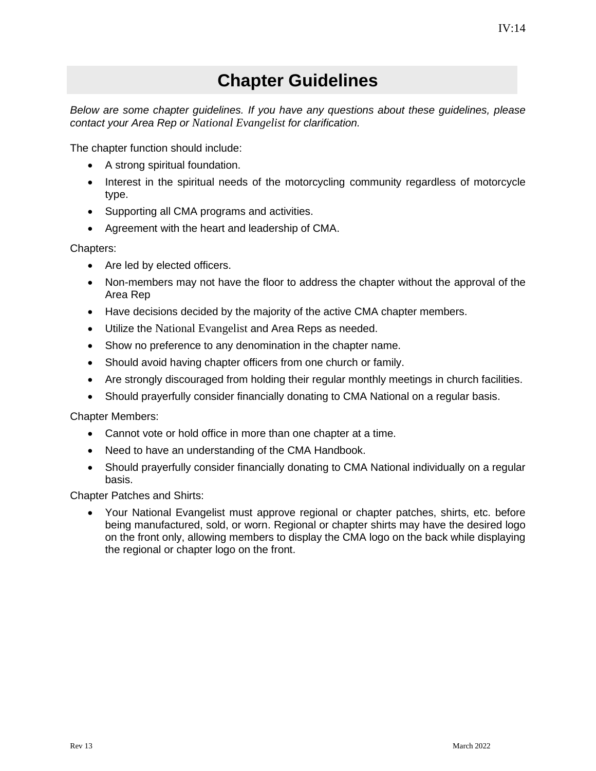### **Chapter Guidelines**

<span id="page-43-0"></span>*Below are some chapter guidelines. If you have any questions about these guidelines, please contact your Area Rep or National Evangelist for clarification.*

The chapter function should include:

- A strong spiritual foundation.
- Interest in the spiritual needs of the motorcycling community regardless of motorcycle type.
- Supporting all CMA programs and activities.
- Agreement with the heart and leadership of CMA.

Chapters:

- Are led by elected officers.
- Non-members may not have the floor to address the chapter without the approval of the Area Rep
- Have decisions decided by the majority of the active CMA chapter members.
- Utilize the National Evangelist and Area Reps as needed.
- Show no preference to any denomination in the chapter name.
- Should avoid having chapter officers from one church or family.
- Are strongly discouraged from holding their regular monthly meetings in church facilities.
- Should prayerfully consider financially donating to CMA National on a regular basis.

Chapter Members:

- Cannot vote or hold office in more than one chapter at a time.
- Need to have an understanding of the CMA Handbook.
- Should prayerfully consider financially donating to CMA National individually on a regular basis.

Chapter Patches and Shirts:

• Your National Evangelist must approve regional or chapter patches, shirts, etc. before being manufactured, sold, or worn. Regional or chapter shirts may have the desired logo on the front only, allowing members to display the CMA logo on the back while displaying the regional or chapter logo on the front.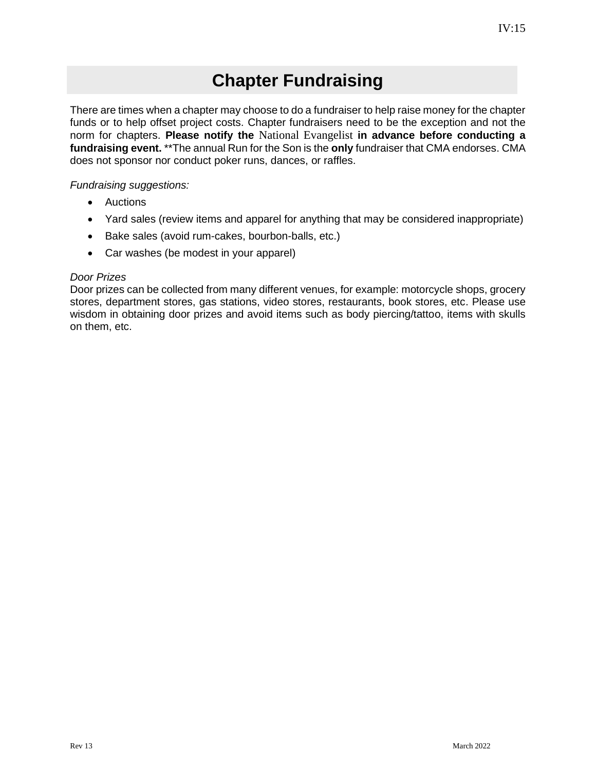### **Chapter Fundraising**

<span id="page-44-0"></span>There are times when a chapter may choose to do a fundraiser to help raise money for the chapter funds or to help offset project costs. Chapter fundraisers need to be the exception and not the norm for chapters. **Please notify the** National Evangelist **in advance before conducting a fundraising event.** \*\*The annual Run for the Son is the **only** fundraiser that CMA endorses. CMA does not sponsor nor conduct poker runs, dances, or raffles.

#### *Fundraising suggestions:*

- Auctions
- Yard sales (review items and apparel for anything that may be considered inappropriate)
- Bake sales (avoid rum-cakes, bourbon-balls, etc.)
- Car washes (be modest in your apparel)

#### *Door Prizes*

Door prizes can be collected from many different venues, for example: motorcycle shops, grocery stores, department stores, gas stations, video stores, restaurants, book stores, etc. Please use wisdom in obtaining door prizes and avoid items such as body piercing/tattoo, items with skulls on them, etc.